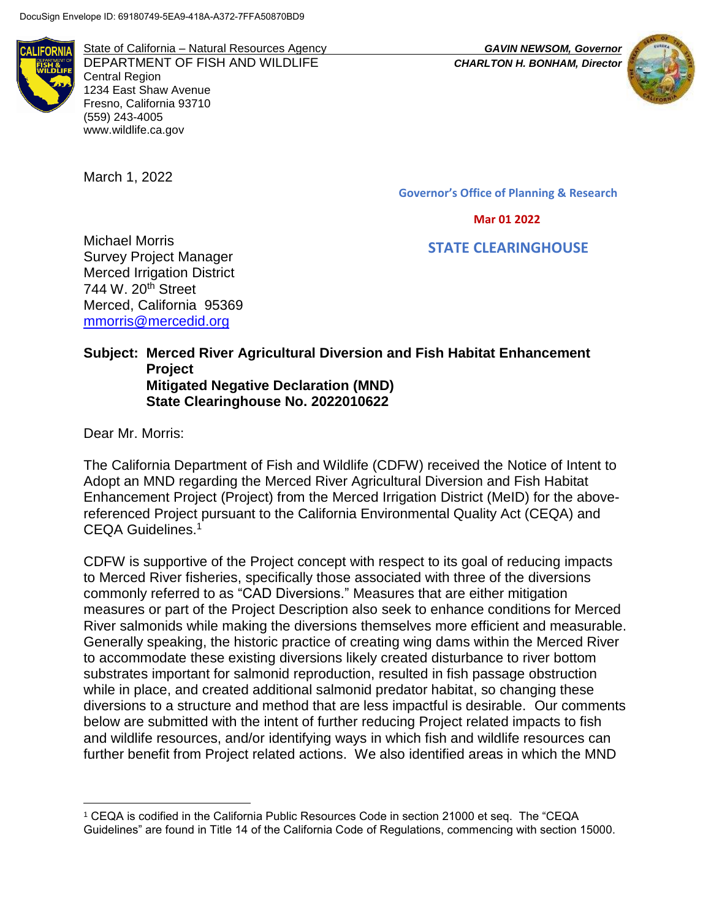

State of California – Natural Resources Agency *GAVIN NEWSOM, Governor* DEPARTMENT OF FISH AND WILDLIFE *CHARLTON H. BONHAM, Director* Central Region 1234 East Shaw Avenue Fresno, California 93710 (559) 243-4005 www.wildlife.ca.gov

March 1, 2022



**Governor's Office of Planning & Research**

 **Mar 01 2022**

 **STATE CLEARINGHOUSE**

Michael Morris Survey Project Manager Merced Irrigation District 744 W. 20<sup>th</sup> Street Merced, California 95369 [mmorris@mercedid.org](mailto:mmorris@mercedid.org)

#### **Subject: Merced River Agricultural Diversion and Fish Habitat Enhancement Project Mitigated Negative Declaration (MND) State Clearinghouse No. 2022010622**

Dear Mr. Morris:

 $\overline{a}$ 

The California Department of Fish and Wildlife (CDFW) received the Notice of Intent to Adopt an MND regarding the Merced River Agricultural Diversion and Fish Habitat Enhancement Project (Project) from the Merced Irrigation District (MeID) for the abovereferenced Project pursuant to the California Environmental Quality Act (CEQA) and CEQA Guidelines.<sup>1</sup>

CDFW is supportive of the Project concept with respect to its goal of reducing impacts to Merced River fisheries, specifically those associated with three of the diversions commonly referred to as "CAD Diversions." Measures that are either mitigation measures or part of the Project Description also seek to enhance conditions for Merced River salmonids while making the diversions themselves more efficient and measurable. Generally speaking, the historic practice of creating wing dams within the Merced River to accommodate these existing diversions likely created disturbance to river bottom substrates important for salmonid reproduction, resulted in fish passage obstruction while in place, and created additional salmonid predator habitat, so changing these diversions to a structure and method that are less impactful is desirable. Our comments below are submitted with the intent of further reducing Project related impacts to fish and wildlife resources, and/or identifying ways in which fish and wildlife resources can further benefit from Project related actions. We also identified areas in which the MND

<sup>1</sup> CEQA is codified in the California Public Resources Code in section 21000 et seq. The "CEQA Guidelines" are found in Title 14 of the California Code of Regulations, commencing with section 15000.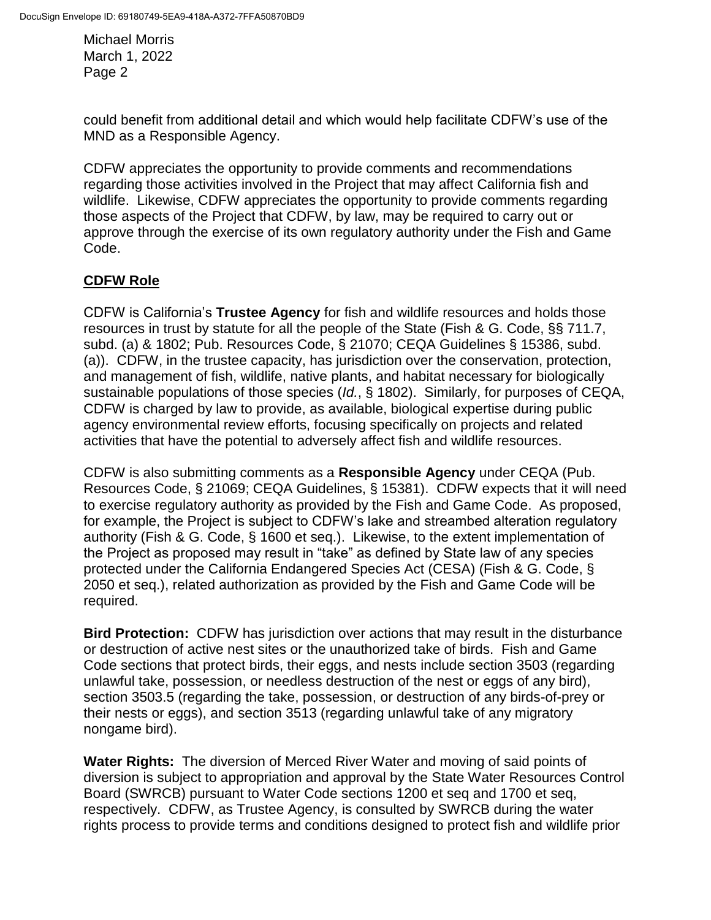could benefit from additional detail and which would help facilitate CDFW's use of the MND as a Responsible Agency.

CDFW appreciates the opportunity to provide comments and recommendations regarding those activities involved in the Project that may affect California fish and wildlife. Likewise, CDFW appreciates the opportunity to provide comments regarding those aspects of the Project that CDFW, by law, may be required to carry out or approve through the exercise of its own regulatory authority under the Fish and Game Code.

# **CDFW Role**

CDFW is California's **Trustee Agency** for fish and wildlife resources and holds those resources in trust by statute for all the people of the State (Fish & G. Code, §§ 711.7, subd. (a) & 1802; Pub. Resources Code, § 21070; CEQA Guidelines § 15386, subd. (a)). CDFW, in the trustee capacity, has jurisdiction over the conservation, protection, and management of fish, wildlife, native plants, and habitat necessary for biologically sustainable populations of those species (*Id.*, § 1802). Similarly, for purposes of CEQA, CDFW is charged by law to provide, as available, biological expertise during public agency environmental review efforts, focusing specifically on projects and related activities that have the potential to adversely affect fish and wildlife resources.

CDFW is also submitting comments as a **Responsible Agency** under CEQA (Pub. Resources Code, § 21069; CEQA Guidelines, § 15381). CDFW expects that it will need to exercise regulatory authority as provided by the Fish and Game Code. As proposed, for example, the Project is subject to CDFW's lake and streambed alteration regulatory authority (Fish & G. Code, § 1600 et seq.). Likewise, to the extent implementation of the Project as proposed may result in "take" as defined by State law of any species protected under the California Endangered Species Act (CESA) (Fish & G. Code, § 2050 et seq.), related authorization as provided by the Fish and Game Code will be required.

**Bird Protection:** CDFW has jurisdiction over actions that may result in the disturbance or destruction of active nest sites or the unauthorized take of birds. Fish and Game Code sections that protect birds, their eggs, and nests include section 3503 (regarding unlawful take, possession, or needless destruction of the nest or eggs of any bird), section 3503.5 (regarding the take, possession, or destruction of any birds-of-prey or their nests or eggs), and section 3513 (regarding unlawful take of any migratory nongame bird).

**Water Rights:** The diversion of Merced River Water and moving of said points of diversion is subject to appropriation and approval by the State Water Resources Control Board (SWRCB) pursuant to Water Code sections 1200 et seq and 1700 et seq, respectively. CDFW, as Trustee Agency, is consulted by SWRCB during the water rights process to provide terms and conditions designed to protect fish and wildlife prior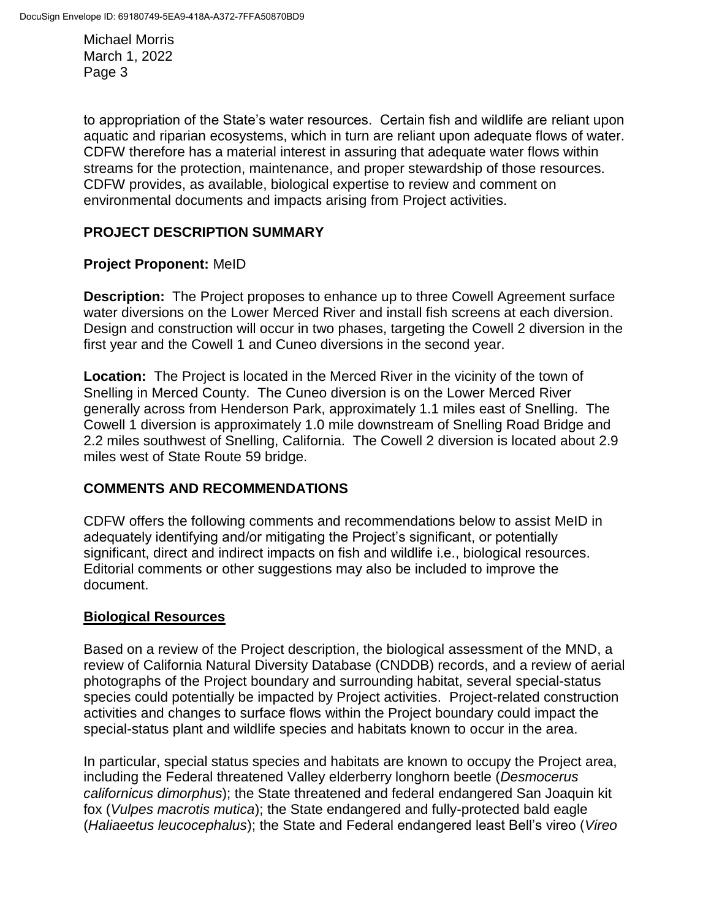to appropriation of the State's water resources. Certain fish and wildlife are reliant upon aquatic and riparian ecosystems, which in turn are reliant upon adequate flows of water. CDFW therefore has a material interest in assuring that adequate water flows within streams for the protection, maintenance, and proper stewardship of those resources. CDFW provides, as available, biological expertise to review and comment on environmental documents and impacts arising from Project activities.

## **PROJECT DESCRIPTION SUMMARY**

### **Project Proponent:** MeID

**Description:** The Project proposes to enhance up to three Cowell Agreement surface water diversions on the Lower Merced River and install fish screens at each diversion. Design and construction will occur in two phases, targeting the Cowell 2 diversion in the first year and the Cowell 1 and Cuneo diversions in the second year.

**Location:** The Project is located in the Merced River in the vicinity of the town of Snelling in Merced County. The Cuneo diversion is on the Lower Merced River generally across from Henderson Park, approximately 1.1 miles east of Snelling. The Cowell 1 diversion is approximately 1.0 mile downstream of Snelling Road Bridge and 2.2 miles southwest of Snelling, California. The Cowell 2 diversion is located about 2.9 miles west of State Route 59 bridge.

## **COMMENTS AND RECOMMENDATIONS**

CDFW offers the following comments and recommendations below to assist MeID in adequately identifying and/or mitigating the Project's significant, or potentially significant, direct and indirect impacts on fish and wildlife i.e., biological resources. Editorial comments or other suggestions may also be included to improve the document.

#### **Biological Resources**

Based on a review of the Project description, the biological assessment of the MND, a review of California Natural Diversity Database (CNDDB) records, and a review of aerial photographs of the Project boundary and surrounding habitat, several special-status species could potentially be impacted by Project activities. Project-related construction activities and changes to surface flows within the Project boundary could impact the special-status plant and wildlife species and habitats known to occur in the area.

In particular, special status species and habitats are known to occupy the Project area, including the Federal threatened Valley elderberry longhorn beetle (*Desmocerus californicus dimorphus*); the State threatened and federal endangered San Joaquin kit fox (*Vulpes macrotis mutica*); the State endangered and fully-protected bald eagle (*Haliaeetus leucocephalus*); the State and Federal endangered least Bell's vireo (*Vireo*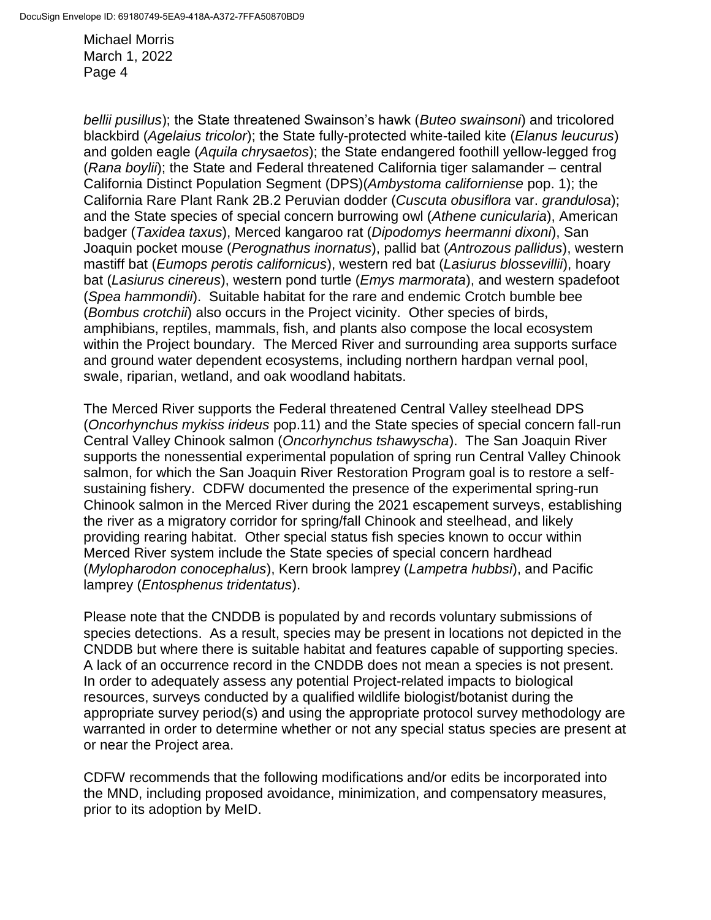*bellii pusillus*); the State threatened Swainson's hawk (*Buteo swainsoni*) and tricolored blackbird (*Agelaius tricolor*); the State fully-protected white-tailed kite (*Elanus leucurus*) and golden eagle (*Aquila chrysaetos*); the State endangered foothill yellow-legged frog (*Rana boylii*); the State and Federal threatened California tiger salamander – central California Distinct Population Segment (DPS)(*Ambystoma californiense* pop. 1); the California Rare Plant Rank 2B.2 Peruvian dodder (*Cuscuta obusiflora* var. *grandulosa*); and the State species of special concern burrowing owl (*Athene cunicularia*), American badger (*Taxidea taxus*), Merced kangaroo rat (*Dipodomys heermanni dixoni*), San Joaquin pocket mouse (*Perognathus inornatus*), pallid bat (*Antrozous pallidus*), western mastiff bat (*Eumops perotis californicus*), western red bat (*Lasiurus blossevillii*), hoary bat (*Lasiurus cinereus*), western pond turtle (*Emys marmorata*), and western spadefoot (*Spea hammondii*). Suitable habitat for the rare and endemic Crotch bumble bee (*Bombus crotchii*) also occurs in the Project vicinity. Other species of birds, amphibians, reptiles, mammals, fish, and plants also compose the local ecosystem within the Project boundary. The Merced River and surrounding area supports surface and ground water dependent ecosystems, including northern hardpan vernal pool, swale, riparian, wetland, and oak woodland habitats.

The Merced River supports the Federal threatened Central Valley steelhead DPS (*Oncorhynchus mykiss irideus* pop.11) and the State species of special concern fall-run Central Valley Chinook salmon (*Oncorhynchus tshawyscha*). The San Joaquin River supports the nonessential experimental population of spring run Central Valley Chinook salmon, for which the San Joaquin River Restoration Program goal is to restore a selfsustaining fishery. CDFW documented the presence of the experimental spring-run Chinook salmon in the Merced River during the 2021 escapement surveys, establishing the river as a migratory corridor for spring/fall Chinook and steelhead, and likely providing rearing habitat. Other special status fish species known to occur within Merced River system include the State species of special concern hardhead (*Mylopharodon conocephalus*), Kern brook lamprey (*Lampetra hubbsi*), and Pacific lamprey (*Entosphenus tridentatus*).

Please note that the CNDDB is populated by and records voluntary submissions of species detections. As a result, species may be present in locations not depicted in the CNDDB but where there is suitable habitat and features capable of supporting species. A lack of an occurrence record in the CNDDB does not mean a species is not present. In order to adequately assess any potential Project-related impacts to biological resources, surveys conducted by a qualified wildlife biologist/botanist during the appropriate survey period(s) and using the appropriate protocol survey methodology are warranted in order to determine whether or not any special status species are present at or near the Project area.

CDFW recommends that the following modifications and/or edits be incorporated into the MND, including proposed avoidance, minimization, and compensatory measures, prior to its adoption by MeID.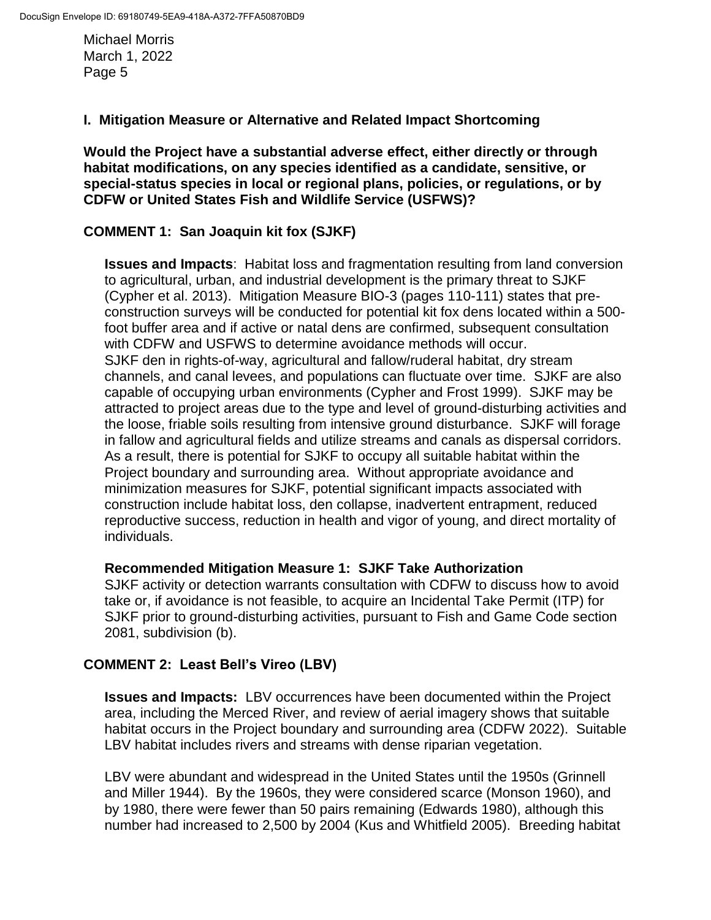## **I. Mitigation Measure or Alternative and Related Impact Shortcoming**

**Would the Project have a substantial adverse effect, either directly or through habitat modifications, on any species identified as a candidate, sensitive, or special-status species in local or regional plans, policies, or regulations, or by CDFW or United States Fish and Wildlife Service (USFWS)?**

### **COMMENT 1: San Joaquin kit fox (SJKF)**

**Issues and Impacts**: Habitat loss and fragmentation resulting from land conversion to agricultural, urban, and industrial development is the primary threat to SJKF (Cypher et al. 2013). Mitigation Measure BIO-3 (pages 110-111) states that preconstruction surveys will be conducted for potential kit fox dens located within a 500 foot buffer area and if active or natal dens are confirmed, subsequent consultation with CDFW and USFWS to determine avoidance methods will occur. SJKF den in rights-of-way, agricultural and fallow/ruderal habitat, dry stream channels, and canal levees, and populations can fluctuate over time. SJKF are also capable of occupying urban environments (Cypher and Frost 1999). SJKF may be attracted to project areas due to the type and level of ground-disturbing activities and the loose, friable soils resulting from intensive ground disturbance. SJKF will forage in fallow and agricultural fields and utilize streams and canals as dispersal corridors. As a result, there is potential for SJKF to occupy all suitable habitat within the Project boundary and surrounding area. Without appropriate avoidance and minimization measures for SJKF, potential significant impacts associated with construction include habitat loss, den collapse, inadvertent entrapment, reduced reproductive success, reduction in health and vigor of young, and direct mortality of individuals.

#### **Recommended Mitigation Measure 1: SJKF Take Authorization**

SJKF activity or detection warrants consultation with CDFW to discuss how to avoid take or, if avoidance is not feasible, to acquire an Incidental Take Permit (ITP) for SJKF prior to ground-disturbing activities, pursuant to Fish and Game Code section 2081, subdivision (b).

#### **COMMENT 2: Least Bell's Vireo (LBV)**

**Issues and Impacts:** LBV occurrences have been documented within the Project area, including the Merced River, and review of aerial imagery shows that suitable habitat occurs in the Project boundary and surrounding area (CDFW 2022). Suitable LBV habitat includes rivers and streams with dense riparian vegetation.

LBV were abundant and widespread in the United States until the 1950s (Grinnell and Miller 1944). By the 1960s, they were considered scarce (Monson 1960), and by 1980, there were fewer than 50 pairs remaining (Edwards 1980), although this number had increased to 2,500 by 2004 (Kus and Whitfield 2005). Breeding habitat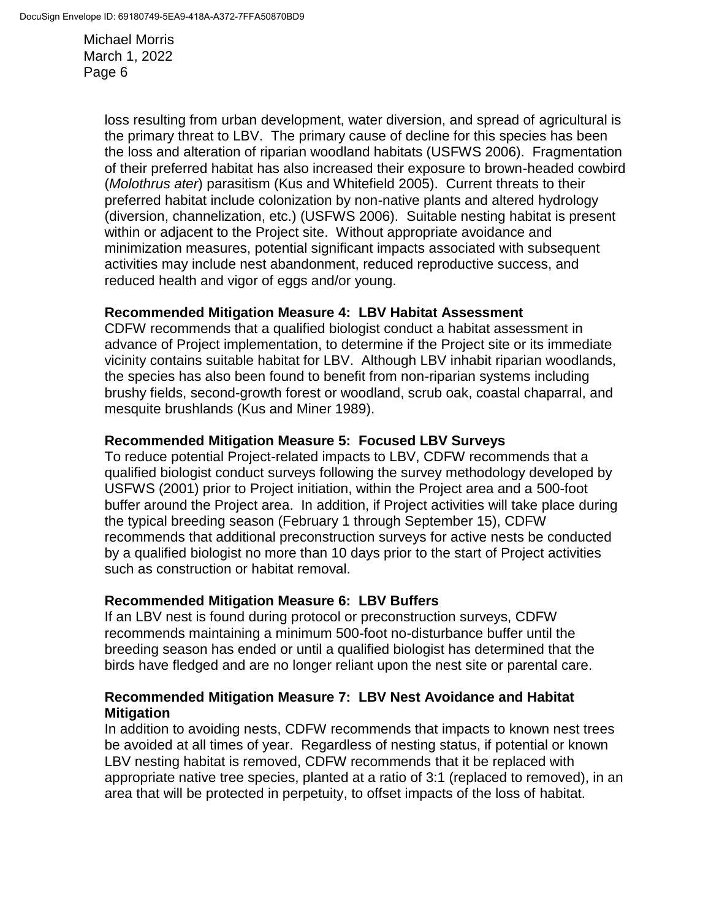> loss resulting from urban development, water diversion, and spread of agricultural is the primary threat to LBV. The primary cause of decline for this species has been the loss and alteration of riparian woodland habitats (USFWS 2006). Fragmentation of their preferred habitat has also increased their exposure to brown-headed cowbird (*Molothrus ater*) parasitism (Kus and Whitefield 2005). Current threats to their preferred habitat include colonization by non-native plants and altered hydrology (diversion, channelization, etc.) (USFWS 2006). Suitable nesting habitat is present within or adjacent to the Project site. Without appropriate avoidance and minimization measures, potential significant impacts associated with subsequent activities may include nest abandonment, reduced reproductive success, and reduced health and vigor of eggs and/or young.

## **Recommended Mitigation Measure 4: LBV Habitat Assessment**

CDFW recommends that a qualified biologist conduct a habitat assessment in advance of Project implementation, to determine if the Project site or its immediate vicinity contains suitable habitat for LBV. Although LBV inhabit riparian woodlands, the species has also been found to benefit from non-riparian systems including brushy fields, second-growth forest or woodland, scrub oak, coastal chaparral, and mesquite brushlands (Kus and Miner 1989).

## **Recommended Mitigation Measure 5: Focused LBV Surveys**

To reduce potential Project-related impacts to LBV, CDFW recommends that a qualified biologist conduct surveys following the survey methodology developed by USFWS (2001) prior to Project initiation, within the Project area and a 500-foot buffer around the Project area. In addition, if Project activities will take place during the typical breeding season (February 1 through September 15), CDFW recommends that additional preconstruction surveys for active nests be conducted by a qualified biologist no more than 10 days prior to the start of Project activities such as construction or habitat removal.

## **Recommended Mitigation Measure 6: LBV Buffers**

If an LBV nest is found during protocol or preconstruction surveys, CDFW recommends maintaining a minimum 500-foot no-disturbance buffer until the breeding season has ended or until a qualified biologist has determined that the birds have fledged and are no longer reliant upon the nest site or parental care.

### **Recommended Mitigation Measure 7: LBV Nest Avoidance and Habitat Mitigation**

In addition to avoiding nests, CDFW recommends that impacts to known nest trees be avoided at all times of year. Regardless of nesting status, if potential or known LBV nesting habitat is removed, CDFW recommends that it be replaced with appropriate native tree species, planted at a ratio of 3:1 (replaced to removed), in an area that will be protected in perpetuity, to offset impacts of the loss of habitat.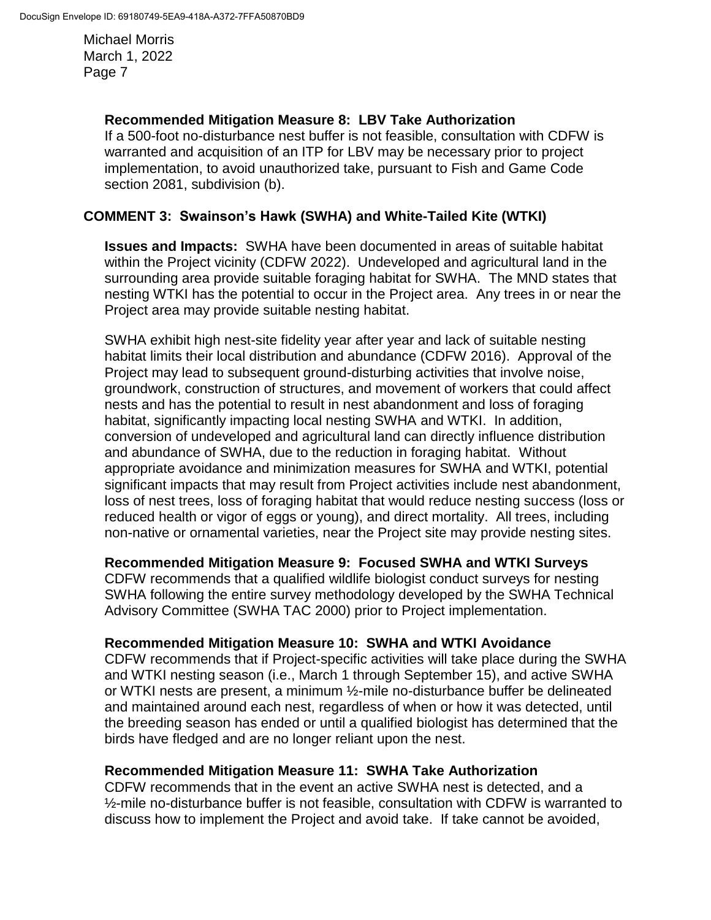### **Recommended Mitigation Measure 8: LBV Take Authorization**

If a 500-foot no-disturbance nest buffer is not feasible, consultation with CDFW is warranted and acquisition of an ITP for LBV may be necessary prior to project implementation, to avoid unauthorized take, pursuant to Fish and Game Code section 2081, subdivision (b).

## **COMMENT 3: Swainson's Hawk (SWHA) and White-Tailed Kite (WTKI)**

**Issues and Impacts:** SWHA have been documented in areas of suitable habitat within the Project vicinity (CDFW 2022). Undeveloped and agricultural land in the surrounding area provide suitable foraging habitat for SWHA. The MND states that nesting WTKI has the potential to occur in the Project area. Any trees in or near the Project area may provide suitable nesting habitat.

SWHA exhibit high nest-site fidelity year after year and lack of suitable nesting habitat limits their local distribution and abundance (CDFW 2016). Approval of the Project may lead to subsequent ground-disturbing activities that involve noise, groundwork, construction of structures, and movement of workers that could affect nests and has the potential to result in nest abandonment and loss of foraging habitat, significantly impacting local nesting SWHA and WTKI. In addition, conversion of undeveloped and agricultural land can directly influence distribution and abundance of SWHA, due to the reduction in foraging habitat. Without appropriate avoidance and minimization measures for SWHA and WTKI, potential significant impacts that may result from Project activities include nest abandonment, loss of nest trees, loss of foraging habitat that would reduce nesting success (loss or reduced health or vigor of eggs or young), and direct mortality. All trees, including non-native or ornamental varieties, near the Project site may provide nesting sites.

#### **Recommended Mitigation Measure 9: Focused SWHA and WTKI Surveys**

CDFW recommends that a qualified wildlife biologist conduct surveys for nesting SWHA following the entire survey methodology developed by the SWHA Technical Advisory Committee (SWHA TAC 2000) prior to Project implementation.

#### **Recommended Mitigation Measure 10: SWHA and WTKI Avoidance**

CDFW recommends that if Project-specific activities will take place during the SWHA and WTKI nesting season (i.e., March 1 through September 15), and active SWHA or WTKI nests are present, a minimum ½-mile no-disturbance buffer be delineated and maintained around each nest, regardless of when or how it was detected, until the breeding season has ended or until a qualified biologist has determined that the birds have fledged and are no longer reliant upon the nest.

#### **Recommended Mitigation Measure 11: SWHA Take Authorization**

CDFW recommends that in the event an active SWHA nest is detected, and a  $\frac{1}{2}$ -mile no-disturbance buffer is not feasible, consultation with CDFW is warranted to discuss how to implement the Project and avoid take. If take cannot be avoided,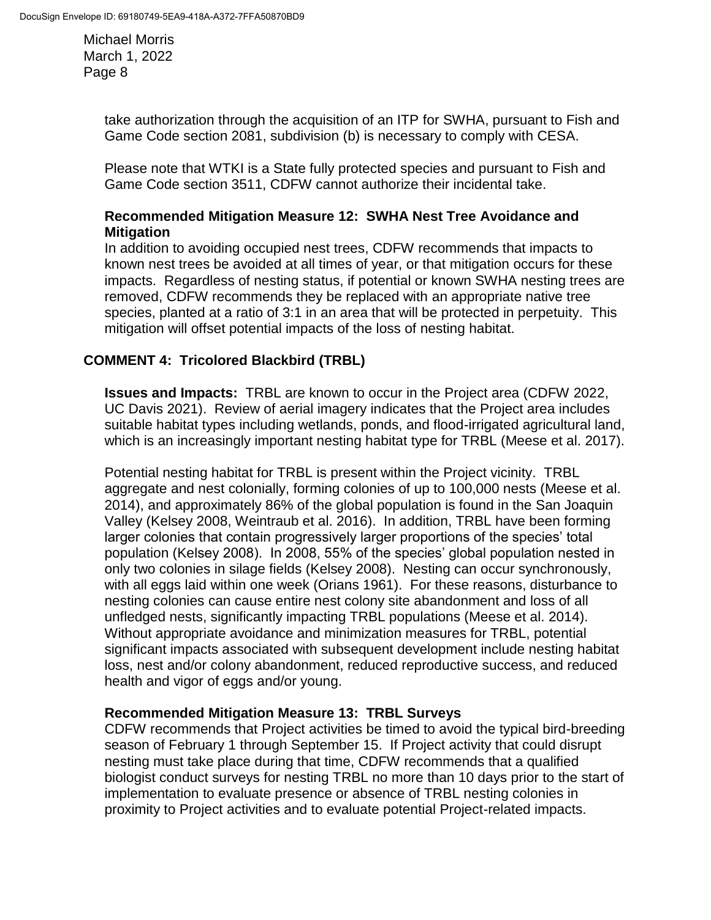> take authorization through the acquisition of an ITP for SWHA, pursuant to Fish and Game Code section 2081, subdivision (b) is necessary to comply with CESA.

Please note that WTKI is a State fully protected species and pursuant to Fish and Game Code section 3511, CDFW cannot authorize their incidental take.

#### **Recommended Mitigation Measure 12: SWHA Nest Tree Avoidance and Mitigation**

In addition to avoiding occupied nest trees, CDFW recommends that impacts to known nest trees be avoided at all times of year, or that mitigation occurs for these impacts. Regardless of nesting status, if potential or known SWHA nesting trees are removed, CDFW recommends they be replaced with an appropriate native tree species, planted at a ratio of 3:1 in an area that will be protected in perpetuity. This mitigation will offset potential impacts of the loss of nesting habitat.

# **COMMENT 4: Tricolored Blackbird (TRBL)**

**Issues and Impacts:** TRBL are known to occur in the Project area (CDFW 2022, UC Davis 2021). Review of aerial imagery indicates that the Project area includes suitable habitat types including wetlands, ponds, and flood-irrigated agricultural land, which is an increasingly important nesting habitat type for TRBL (Meese et al. 2017).

Potential nesting habitat for TRBL is present within the Project vicinity. TRBL aggregate and nest colonially, forming colonies of up to 100,000 nests (Meese et al. 2014), and approximately 86% of the global population is found in the San Joaquin Valley (Kelsey 2008, Weintraub et al. 2016). In addition, TRBL have been forming larger colonies that contain progressively larger proportions of the species' total population (Kelsey 2008). In 2008, 55% of the species' global population nested in only two colonies in silage fields (Kelsey 2008). Nesting can occur synchronously, with all eggs laid within one week (Orians 1961). For these reasons, disturbance to nesting colonies can cause entire nest colony site abandonment and loss of all unfledged nests, significantly impacting TRBL populations (Meese et al. 2014). Without appropriate avoidance and minimization measures for TRBL, potential significant impacts associated with subsequent development include nesting habitat loss, nest and/or colony abandonment, reduced reproductive success, and reduced health and vigor of eggs and/or young.

## **Recommended Mitigation Measure 13: TRBL Surveys**

CDFW recommends that Project activities be timed to avoid the typical bird-breeding season of February 1 through September 15. If Project activity that could disrupt nesting must take place during that time, CDFW recommends that a qualified biologist conduct surveys for nesting TRBL no more than 10 days prior to the start of implementation to evaluate presence or absence of TRBL nesting colonies in proximity to Project activities and to evaluate potential Project-related impacts.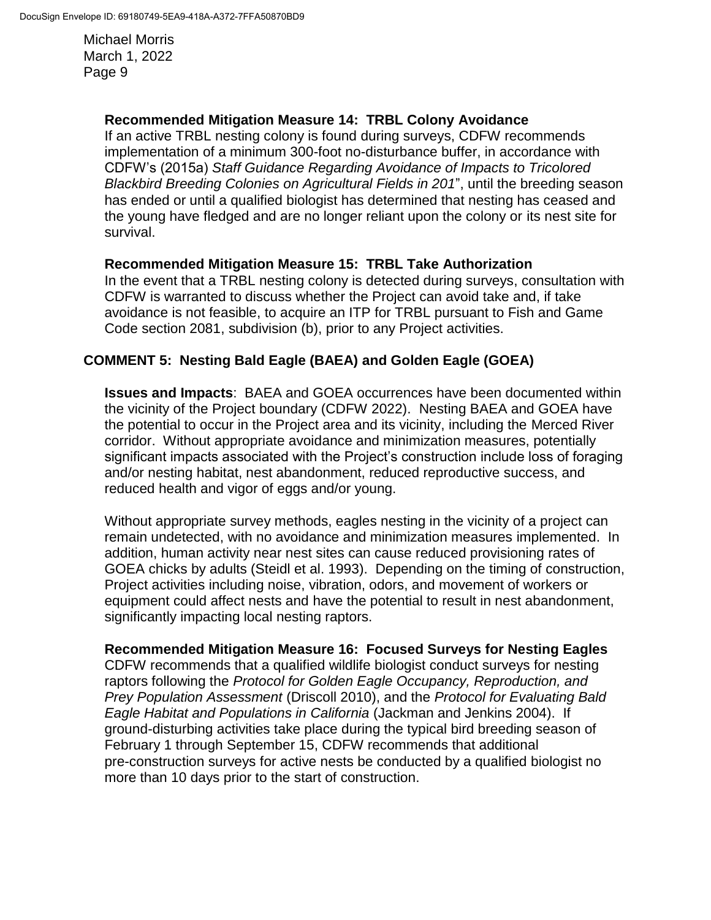### **Recommended Mitigation Measure 14: TRBL Colony Avoidance**

If an active TRBL nesting colony is found during surveys, CDFW recommends implementation of a minimum 300-foot no-disturbance buffer, in accordance with CDFW's (2015a) *Staff Guidance Regarding Avoidance of Impacts to Tricolored Blackbird Breeding Colonies on Agricultural Fields in 201*", until the breeding season has ended or until a qualified biologist has determined that nesting has ceased and the young have fledged and are no longer reliant upon the colony or its nest site for survival.

### **Recommended Mitigation Measure 15: TRBL Take Authorization**

In the event that a TRBL nesting colony is detected during surveys, consultation with CDFW is warranted to discuss whether the Project can avoid take and, if take avoidance is not feasible, to acquire an ITP for TRBL pursuant to Fish and Game Code section 2081, subdivision (b), prior to any Project activities.

# **COMMENT 5: Nesting Bald Eagle (BAEA) and Golden Eagle (GOEA)**

**Issues and Impacts**: BAEA and GOEA occurrences have been documented within the vicinity of the Project boundary (CDFW 2022). Nesting BAEA and GOEA have the potential to occur in the Project area and its vicinity, including the Merced River corridor. Without appropriate avoidance and minimization measures, potentially significant impacts associated with the Project's construction include loss of foraging and/or nesting habitat, nest abandonment, reduced reproductive success, and reduced health and vigor of eggs and/or young.

Without appropriate survey methods, eagles nesting in the vicinity of a project can remain undetected, with no avoidance and minimization measures implemented. In addition, human activity near nest sites can cause reduced provisioning rates of GOEA chicks by adults (Steidl et al. 1993). Depending on the timing of construction, Project activities including noise, vibration, odors, and movement of workers or equipment could affect nests and have the potential to result in nest abandonment, significantly impacting local nesting raptors.

## **Recommended Mitigation Measure 16: Focused Surveys for Nesting Eagles**

CDFW recommends that a qualified wildlife biologist conduct surveys for nesting raptors following the *Protocol for Golden Eagle Occupancy, Reproduction, and Prey Population Assessment* (Driscoll 2010), and the *Protocol for Evaluating Bald Eagle Habitat and Populations in California* (Jackman and Jenkins 2004). If ground-disturbing activities take place during the typical bird breeding season of February 1 through September 15, CDFW recommends that additional pre-construction surveys for active nests be conducted by a qualified biologist no more than 10 days prior to the start of construction.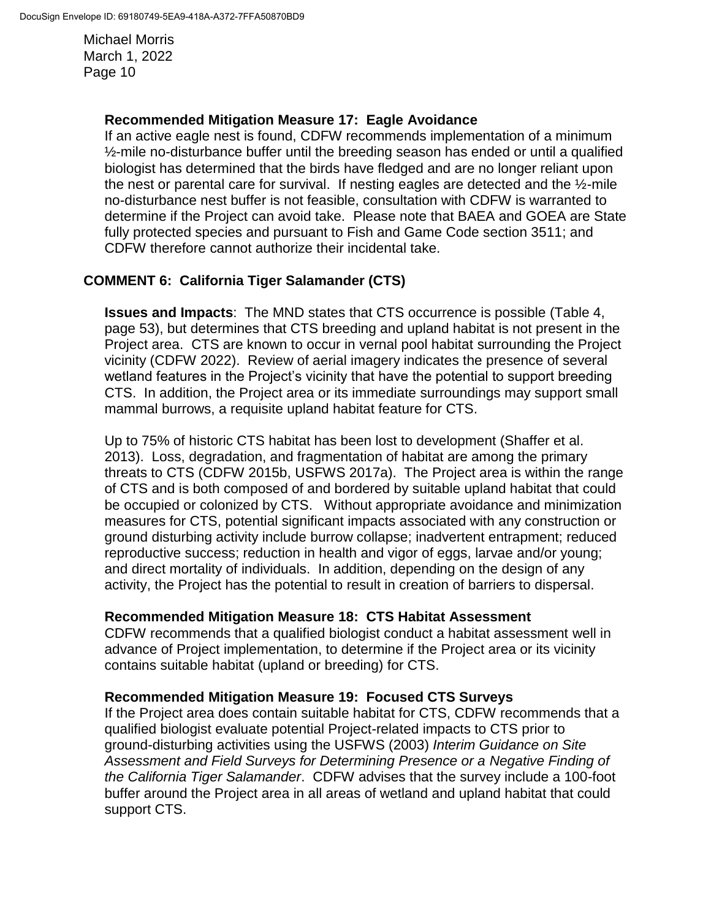## **Recommended Mitigation Measure 17: Eagle Avoidance**

If an active eagle nest is found, CDFW recommends implementation of a minimum  $\frac{1}{2}$ -mile no-disturbance buffer until the breeding season has ended or until a qualified biologist has determined that the birds have fledged and are no longer reliant upon the nest or parental care for survival. If nesting eagles are detected and the ½-mile no-disturbance nest buffer is not feasible, consultation with CDFW is warranted to determine if the Project can avoid take. Please note that BAEA and GOEA are State fully protected species and pursuant to Fish and Game Code section 3511; and CDFW therefore cannot authorize their incidental take.

# **COMMENT 6: California Tiger Salamander (CTS)**

**Issues and Impacts**: The MND states that CTS occurrence is possible (Table 4, page 53), but determines that CTS breeding and upland habitat is not present in the Project area. CTS are known to occur in vernal pool habitat surrounding the Project vicinity (CDFW 2022). Review of aerial imagery indicates the presence of several wetland features in the Project's vicinity that have the potential to support breeding CTS. In addition, the Project area or its immediate surroundings may support small mammal burrows, a requisite upland habitat feature for CTS.

Up to 75% of historic CTS habitat has been lost to development (Shaffer et al. 2013). Loss, degradation, and fragmentation of habitat are among the primary threats to CTS (CDFW 2015b, USFWS 2017a). The Project area is within the range of CTS and is both composed of and bordered by suitable upland habitat that could be occupied or colonized by CTS. Without appropriate avoidance and minimization measures for CTS, potential significant impacts associated with any construction or ground disturbing activity include burrow collapse; inadvertent entrapment; reduced reproductive success; reduction in health and vigor of eggs, larvae and/or young; and direct mortality of individuals. In addition, depending on the design of any activity, the Project has the potential to result in creation of barriers to dispersal.

## **Recommended Mitigation Measure 18: CTS Habitat Assessment**

CDFW recommends that a qualified biologist conduct a habitat assessment well in advance of Project implementation, to determine if the Project area or its vicinity contains suitable habitat (upland or breeding) for CTS.

## **Recommended Mitigation Measure 19: Focused CTS Surveys**

If the Project area does contain suitable habitat for CTS, CDFW recommends that a qualified biologist evaluate potential Project-related impacts to CTS prior to ground-disturbing activities using the USFWS (2003) *Interim Guidance on Site Assessment and Field Surveys for Determining Presence or a Negative Finding of the California Tiger Salamander*. CDFW advises that the survey include a 100-foot buffer around the Project area in all areas of wetland and upland habitat that could support CTS.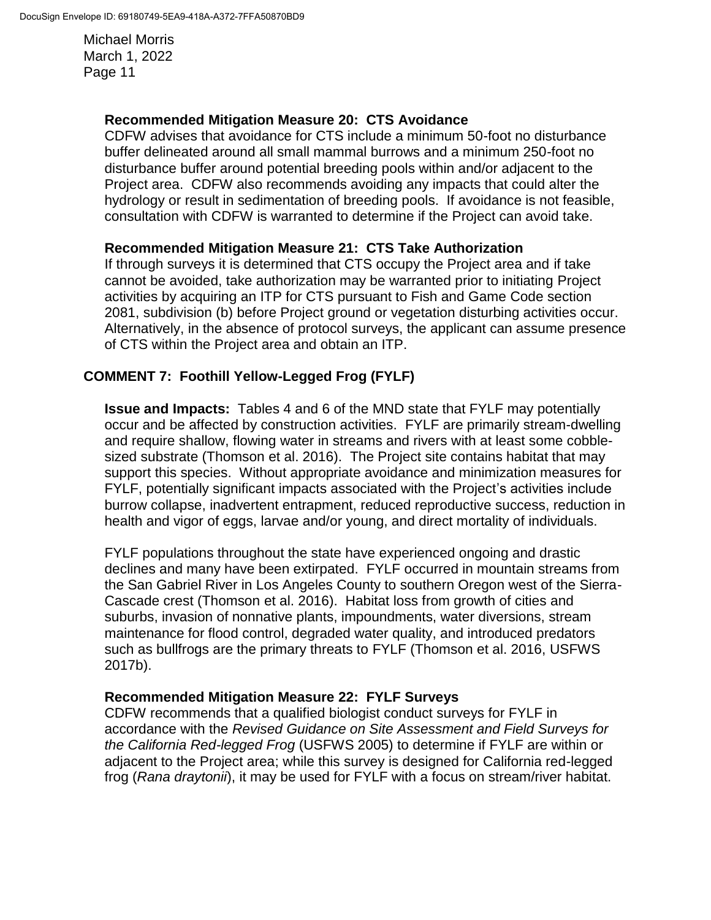### **Recommended Mitigation Measure 20: CTS Avoidance**

CDFW advises that avoidance for CTS include a minimum 50-foot no disturbance buffer delineated around all small mammal burrows and a minimum 250-foot no disturbance buffer around potential breeding pools within and/or adjacent to the Project area. CDFW also recommends avoiding any impacts that could alter the hydrology or result in sedimentation of breeding pools. If avoidance is not feasible, consultation with CDFW is warranted to determine if the Project can avoid take.

### **Recommended Mitigation Measure 21: CTS Take Authorization**

If through surveys it is determined that CTS occupy the Project area and if take cannot be avoided, take authorization may be warranted prior to initiating Project activities by acquiring an ITP for CTS pursuant to Fish and Game Code section 2081, subdivision (b) before Project ground or vegetation disturbing activities occur. Alternatively, in the absence of protocol surveys, the applicant can assume presence of CTS within the Project area and obtain an ITP.

## **COMMENT 7: Foothill Yellow-Legged Frog (FYLF)**

**Issue and Impacts:** Tables 4 and 6 of the MND state that FYLF may potentially occur and be affected by construction activities. FYLF are primarily stream-dwelling and require shallow, flowing water in streams and rivers with at least some cobblesized substrate (Thomson et al. 2016). The Project site contains habitat that may support this species. Without appropriate avoidance and minimization measures for FYLF, potentially significant impacts associated with the Project's activities include burrow collapse, inadvertent entrapment, reduced reproductive success, reduction in health and vigor of eggs, larvae and/or young, and direct mortality of individuals.

FYLF populations throughout the state have experienced ongoing and drastic declines and many have been extirpated. FYLF occurred in mountain streams from the San Gabriel River in Los Angeles County to southern Oregon west of the Sierra-Cascade crest (Thomson et al. 2016). Habitat loss from growth of cities and suburbs, invasion of nonnative plants, impoundments, water diversions, stream maintenance for flood control, degraded water quality, and introduced predators such as bullfrogs are the primary threats to FYLF (Thomson et al. 2016, USFWS 2017b).

#### **Recommended Mitigation Measure 22: FYLF Surveys**

CDFW recommends that a qualified biologist conduct surveys for FYLF in accordance with the *Revised Guidance on Site Assessment and Field Surveys for the California Red-legged Frog* (USFWS 2005) to determine if FYLF are within or adjacent to the Project area; while this survey is designed for California red-legged frog (*Rana draytonii*), it may be used for FYLF with a focus on stream/river habitat.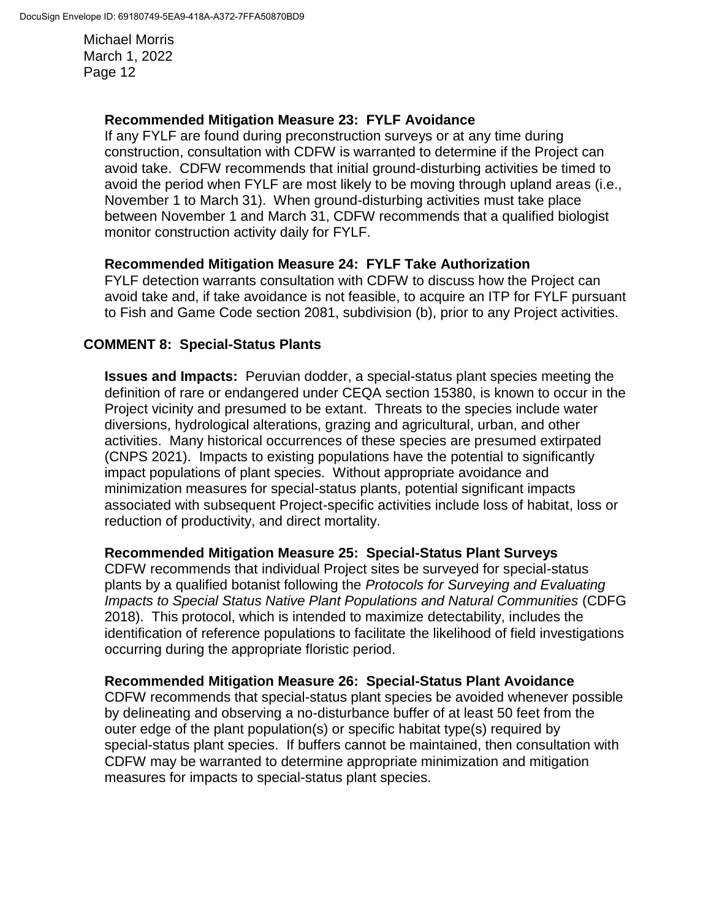### **Recommended Mitigation Measure 23: FYLF Avoidance**

If any FYLF are found during preconstruction surveys or at any time during construction, consultation with CDFW is warranted to determine if the Project can avoid take. CDFW recommends that initial ground-disturbing activities be timed to avoid the period when FYLF are most likely to be moving through upland areas (i.e., November 1 to March 31). When ground-disturbing activities must take place between November 1 and March 31, CDFW recommends that a qualified biologist monitor construction activity daily for FYLF.

### **Recommended Mitigation Measure 24: FYLF Take Authorization**

FYLF detection warrants consultation with CDFW to discuss how the Project can avoid take and, if take avoidance is not feasible, to acquire an ITP for FYLF pursuant to Fish and Game Code section 2081, subdivision (b), prior to any Project activities.

### **COMMENT 8: Special-Status Plants**

**Issues and Impacts:** Peruvian dodder, a special-status plant species meeting the definition of rare or endangered under CEQA section 15380, is known to occur in the Project vicinity and presumed to be extant. Threats to the species include water diversions, hydrological alterations, grazing and agricultural, urban, and other activities. Many historical occurrences of these species are presumed extirpated (CNPS 2021). Impacts to existing populations have the potential to significantly impact populations of plant species. Without appropriate avoidance and minimization measures for special-status plants, potential significant impacts associated with subsequent Project-specific activities include loss of habitat, loss or reduction of productivity, and direct mortality.

#### **Recommended Mitigation Measure 25: Special-Status Plant Surveys**

CDFW recommends that individual Project sites be surveyed for special-status plants by a qualified botanist following the *Protocols for Surveying and Evaluating Impacts to Special Status Native Plant Populations and Natural Communities* (CDFG 2018). This protocol, which is intended to maximize detectability, includes the identification of reference populations to facilitate the likelihood of field investigations occurring during the appropriate floristic period.

#### **Recommended Mitigation Measure 26: Special-Status Plant Avoidance**

CDFW recommends that special-status plant species be avoided whenever possible by delineating and observing a no-disturbance buffer of at least 50 feet from the outer edge of the plant population(s) or specific habitat type(s) required by special-status plant species. If buffers cannot be maintained, then consultation with CDFW may be warranted to determine appropriate minimization and mitigation measures for impacts to special-status plant species.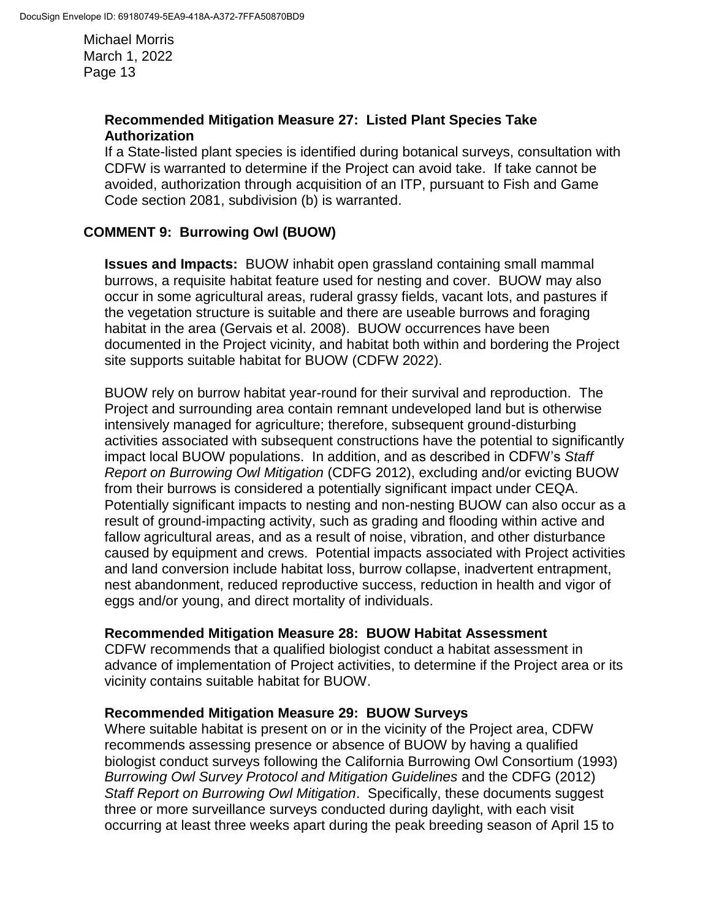### **Recommended Mitigation Measure 27: Listed Plant Species Take Authorization**

If a State-listed plant species is identified during botanical surveys, consultation with CDFW is warranted to determine if the Project can avoid take. If take cannot be avoided, authorization through acquisition of an ITP, pursuant to Fish and Game Code section 2081, subdivision (b) is warranted.

## **COMMENT 9: Burrowing Owl (BUOW)**

**Issues and Impacts:** BUOW inhabit open grassland containing small mammal burrows, a requisite habitat feature used for nesting and cover. BUOW may also occur in some agricultural areas, ruderal grassy fields, vacant lots, and pastures if the vegetation structure is suitable and there are useable burrows and foraging habitat in the area (Gervais et al. 2008). BUOW occurrences have been documented in the Project vicinity, and habitat both within and bordering the Project site supports suitable habitat for BUOW (CDFW 2022).

BUOW rely on burrow habitat year-round for their survival and reproduction. The Project and surrounding area contain remnant undeveloped land but is otherwise intensively managed for agriculture; therefore, subsequent ground-disturbing activities associated with subsequent constructions have the potential to significantly impact local BUOW populations. In addition, and as described in CDFW's *Staff Report on Burrowing Owl Mitigation* (CDFG 2012), excluding and/or evicting BUOW from their burrows is considered a potentially significant impact under CEQA. Potentially significant impacts to nesting and non-nesting BUOW can also occur as a result of ground-impacting activity, such as grading and flooding within active and fallow agricultural areas, and as a result of noise, vibration, and other disturbance caused by equipment and crews. Potential impacts associated with Project activities and land conversion include habitat loss, burrow collapse, inadvertent entrapment, nest abandonment, reduced reproductive success, reduction in health and vigor of eggs and/or young, and direct mortality of individuals.

#### **Recommended Mitigation Measure 28: BUOW Habitat Assessment**

CDFW recommends that a qualified biologist conduct a habitat assessment in advance of implementation of Project activities, to determine if the Project area or its vicinity contains suitable habitat for BUOW.

#### **Recommended Mitigation Measure 29: BUOW Surveys**

Where suitable habitat is present on or in the vicinity of the Project area, CDFW recommends assessing presence or absence of BUOW by having a qualified biologist conduct surveys following the California Burrowing Owl Consortium (1993) *Burrowing Owl Survey Protocol and Mitigation Guidelines* and the CDFG (2012) *Staff Report on Burrowing Owl Mitigation*. Specifically, these documents suggest three or more surveillance surveys conducted during daylight, with each visit occurring at least three weeks apart during the peak breeding season of April 15 to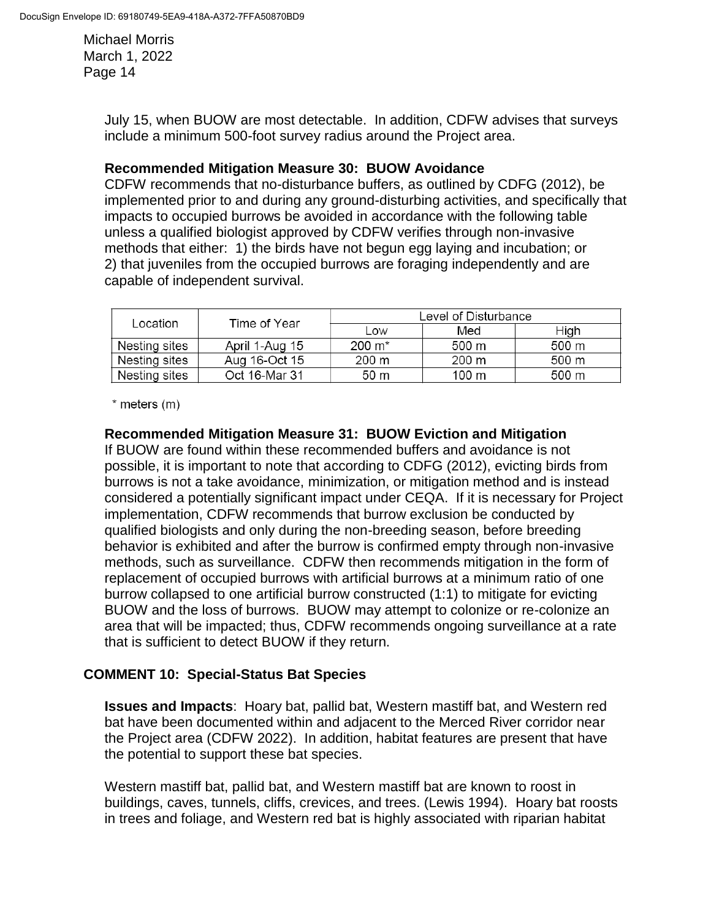> July 15, when BUOW are most detectable. In addition, CDFW advises that surveys include a minimum 500-foot survey radius around the Project area.

#### **Recommended Mitigation Measure 30: BUOW Avoidance**

CDFW recommends that no-disturbance buffers, as outlined by CDFG (2012), be implemented prior to and during any ground-disturbing activities, and specifically that impacts to occupied burrows be avoided in accordance with the following table unless a qualified biologist approved by CDFW verifies through non-invasive methods that either: 1) the birds have not begun egg laying and incubation; or 2) that juveniles from the occupied burrows are foraging independently and are capable of independent survival.

| Location      | Time of Year   | Level of Disturbance |       |                 |
|---------------|----------------|----------------------|-------|-----------------|
|               |                | Low                  | Med   | High            |
| Nesting sites | April 1-Aug 15 | $200 \; \text{m}^*$  | 500 m | 500 m           |
| Nesting sites | Aug 16-Oct 15  | 200 m                | 200 m | 500 m           |
| Nesting sites | Oct 16-Mar 31  | 50 m                 | 100 m | $500 \text{ m}$ |

 $*$  meters  $(m)$ 

### **Recommended Mitigation Measure 31: BUOW Eviction and Mitigation**

If BUOW are found within these recommended buffers and avoidance is not possible, it is important to note that according to CDFG (2012), evicting birds from burrows is not a take avoidance, minimization, or mitigation method and is instead considered a potentially significant impact under CEQA. If it is necessary for Project implementation, CDFW recommends that burrow exclusion be conducted by qualified biologists and only during the non-breeding season, before breeding behavior is exhibited and after the burrow is confirmed empty through non-invasive methods, such as surveillance. CDFW then recommends mitigation in the form of replacement of occupied burrows with artificial burrows at a minimum ratio of one burrow collapsed to one artificial burrow constructed (1:1) to mitigate for evicting BUOW and the loss of burrows. BUOW may attempt to colonize or re-colonize an area that will be impacted; thus, CDFW recommends ongoing surveillance at a rate that is sufficient to detect BUOW if they return.

## **COMMENT 10: Special-Status Bat Species**

**Issues and Impacts**: Hoary bat, pallid bat, Western mastiff bat, and Western red bat have been documented within and adjacent to the Merced River corridor near the Project area (CDFW 2022). In addition, habitat features are present that have the potential to support these bat species.

Western mastiff bat, pallid bat, and Western mastiff bat are known to roost in buildings, caves, tunnels, cliffs, crevices, and trees. (Lewis 1994). Hoary bat roosts in trees and foliage, and Western red bat is highly associated with riparian habitat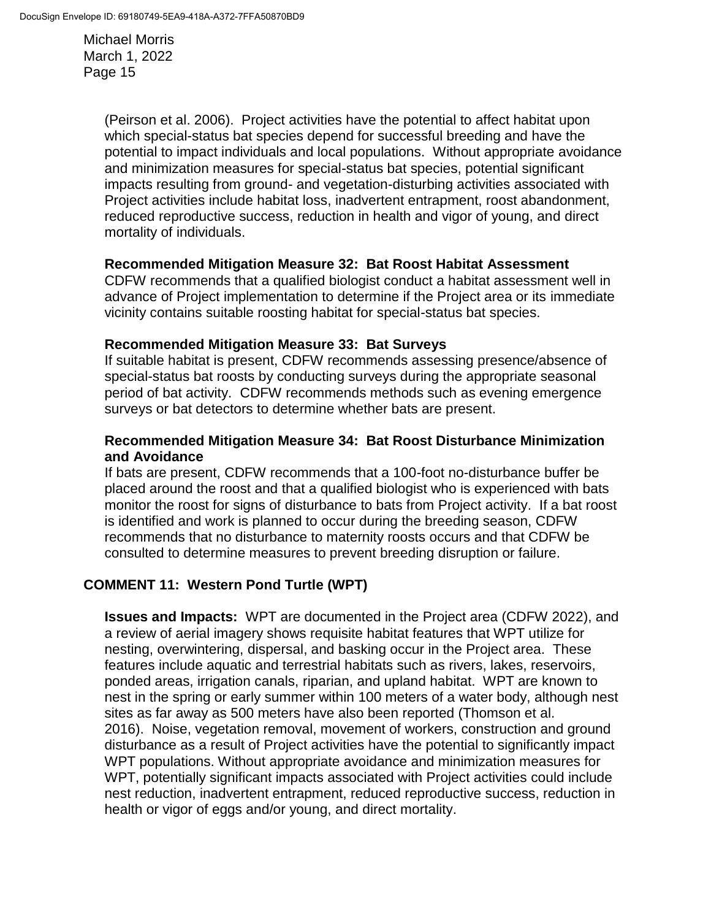> (Peirson et al. 2006). Project activities have the potential to affect habitat upon which special-status bat species depend for successful breeding and have the potential to impact individuals and local populations. Without appropriate avoidance and minimization measures for special-status bat species, potential significant impacts resulting from ground- and vegetation-disturbing activities associated with Project activities include habitat loss, inadvertent entrapment, roost abandonment, reduced reproductive success, reduction in health and vigor of young, and direct mortality of individuals.

#### **Recommended Mitigation Measure 32: Bat Roost Habitat Assessment**

CDFW recommends that a qualified biologist conduct a habitat assessment well in advance of Project implementation to determine if the Project area or its immediate vicinity contains suitable roosting habitat for special-status bat species.

#### **Recommended Mitigation Measure 33: Bat Surveys**

If suitable habitat is present, CDFW recommends assessing presence/absence of special-status bat roosts by conducting surveys during the appropriate seasonal period of bat activity. CDFW recommends methods such as evening emergence surveys or bat detectors to determine whether bats are present.

### **Recommended Mitigation Measure 34: Bat Roost Disturbance Minimization and Avoidance**

If bats are present, CDFW recommends that a 100-foot no-disturbance buffer be placed around the roost and that a qualified biologist who is experienced with bats monitor the roost for signs of disturbance to bats from Project activity. If a bat roost is identified and work is planned to occur during the breeding season, CDFW recommends that no disturbance to maternity roosts occurs and that CDFW be consulted to determine measures to prevent breeding disruption or failure.

## **COMMENT 11: Western Pond Turtle (WPT)**

**Issues and Impacts:** WPT are documented in the Project area (CDFW 2022), and a review of aerial imagery shows requisite habitat features that WPT utilize for nesting, overwintering, dispersal, and basking occur in the Project area. These features include aquatic and terrestrial habitats such as rivers, lakes, reservoirs, ponded areas, irrigation canals, riparian, and upland habitat. WPT are known to nest in the spring or early summer within 100 meters of a water body, although nest sites as far away as 500 meters have also been reported (Thomson et al. 2016). Noise, vegetation removal, movement of workers, construction and ground disturbance as a result of Project activities have the potential to significantly impact WPT populations. Without appropriate avoidance and minimization measures for WPT, potentially significant impacts associated with Project activities could include nest reduction, inadvertent entrapment, reduced reproductive success, reduction in health or vigor of eggs and/or young, and direct mortality.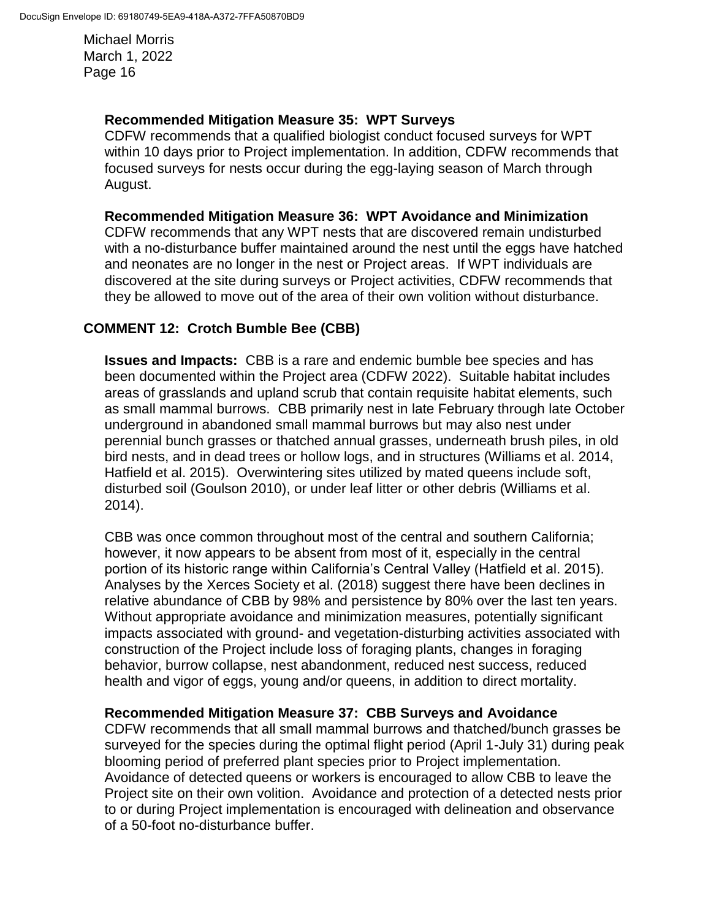#### **Recommended Mitigation Measure 35: WPT Surveys**

CDFW recommends that a qualified biologist conduct focused surveys for WPT within 10 days prior to Project implementation. In addition, CDFW recommends that focused surveys for nests occur during the egg-laying season of March through August.

#### **Recommended Mitigation Measure 36: WPT Avoidance and Minimization**

CDFW recommends that any WPT nests that are discovered remain undisturbed with a no-disturbance buffer maintained around the nest until the eggs have hatched and neonates are no longer in the nest or Project areas. If WPT individuals are discovered at the site during surveys or Project activities, CDFW recommends that they be allowed to move out of the area of their own volition without disturbance.

# **COMMENT 12: Crotch Bumble Bee (CBB)**

**Issues and Impacts:** CBB is a rare and endemic bumble bee species and has been documented within the Project area (CDFW 2022). Suitable habitat includes areas of grasslands and upland scrub that contain requisite habitat elements, such as small mammal burrows. CBB primarily nest in late February through late October underground in abandoned small mammal burrows but may also nest under perennial bunch grasses or thatched annual grasses, underneath brush piles, in old bird nests, and in dead trees or hollow logs, and in structures (Williams et al. 2014, Hatfield et al. 2015). Overwintering sites utilized by mated queens include soft, disturbed soil (Goulson 2010), or under leaf litter or other debris (Williams et al. 2014).

CBB was once common throughout most of the central and southern California; however, it now appears to be absent from most of it, especially in the central portion of its historic range within California's Central Valley (Hatfield et al. 2015). Analyses by the Xerces Society et al. (2018) suggest there have been declines in relative abundance of CBB by 98% and persistence by 80% over the last ten years. Without appropriate avoidance and minimization measures, potentially significant impacts associated with ground- and vegetation-disturbing activities associated with construction of the Project include loss of foraging plants, changes in foraging behavior, burrow collapse, nest abandonment, reduced nest success, reduced health and vigor of eggs, young and/or queens, in addition to direct mortality.

## **Recommended Mitigation Measure 37: CBB Surveys and Avoidance**

CDFW recommends that all small mammal burrows and thatched/bunch grasses be surveyed for the species during the optimal flight period (April 1-July 31) during peak blooming period of preferred plant species prior to Project implementation. Avoidance of detected queens or workers is encouraged to allow CBB to leave the Project site on their own volition. Avoidance and protection of a detected nests prior to or during Project implementation is encouraged with delineation and observance of a 50-foot no-disturbance buffer.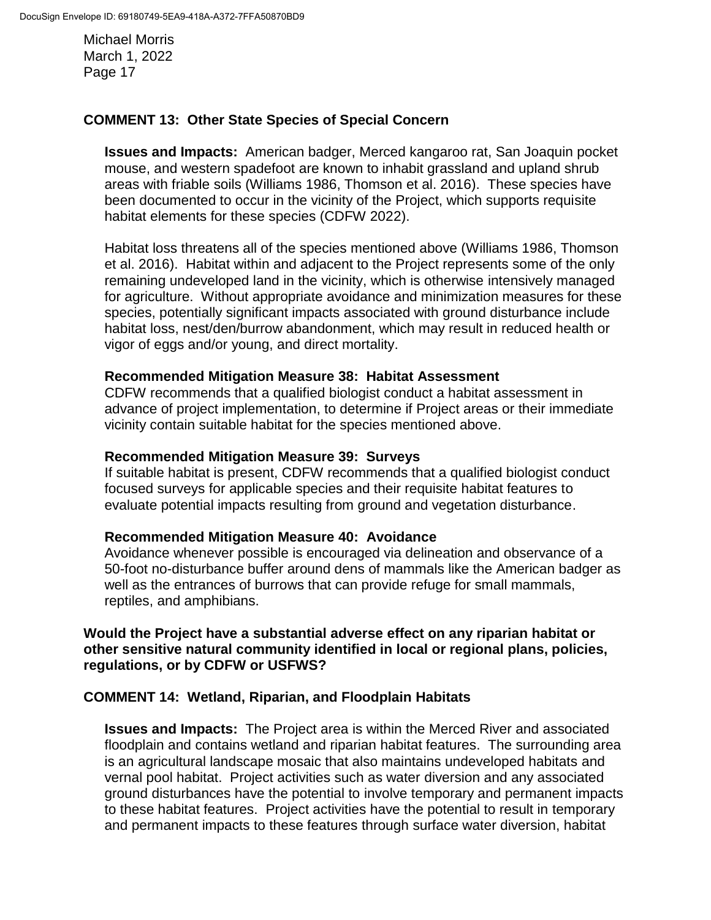## **COMMENT 13: Other State Species of Special Concern**

**Issues and Impacts:** American badger, Merced kangaroo rat, San Joaquin pocket mouse, and western spadefoot are known to inhabit grassland and upland shrub areas with friable soils (Williams 1986, Thomson et al. 2016). These species have been documented to occur in the vicinity of the Project, which supports requisite habitat elements for these species (CDFW 2022).

Habitat loss threatens all of the species mentioned above (Williams 1986, Thomson et al. 2016). Habitat within and adjacent to the Project represents some of the only remaining undeveloped land in the vicinity, which is otherwise intensively managed for agriculture. Without appropriate avoidance and minimization measures for these species, potentially significant impacts associated with ground disturbance include habitat loss, nest/den/burrow abandonment, which may result in reduced health or vigor of eggs and/or young, and direct mortality.

#### **Recommended Mitigation Measure 38: Habitat Assessment**

CDFW recommends that a qualified biologist conduct a habitat assessment in advance of project implementation, to determine if Project areas or their immediate vicinity contain suitable habitat for the species mentioned above.

#### **Recommended Mitigation Measure 39: Surveys**

If suitable habitat is present, CDFW recommends that a qualified biologist conduct focused surveys for applicable species and their requisite habitat features to evaluate potential impacts resulting from ground and vegetation disturbance.

#### **Recommended Mitigation Measure 40: Avoidance**

Avoidance whenever possible is encouraged via delineation and observance of a 50-foot no-disturbance buffer around dens of mammals like the American badger as well as the entrances of burrows that can provide refuge for small mammals, reptiles, and amphibians.

**Would the Project have a substantial adverse effect on any riparian habitat or other sensitive natural community identified in local or regional plans, policies, regulations, or by CDFW or USFWS?** 

#### **COMMENT 14: Wetland, Riparian, and Floodplain Habitats**

**Issues and Impacts:** The Project area is within the Merced River and associated floodplain and contains wetland and riparian habitat features. The surrounding area is an agricultural landscape mosaic that also maintains undeveloped habitats and vernal pool habitat. Project activities such as water diversion and any associated ground disturbances have the potential to involve temporary and permanent impacts to these habitat features. Project activities have the potential to result in temporary and permanent impacts to these features through surface water diversion, habitat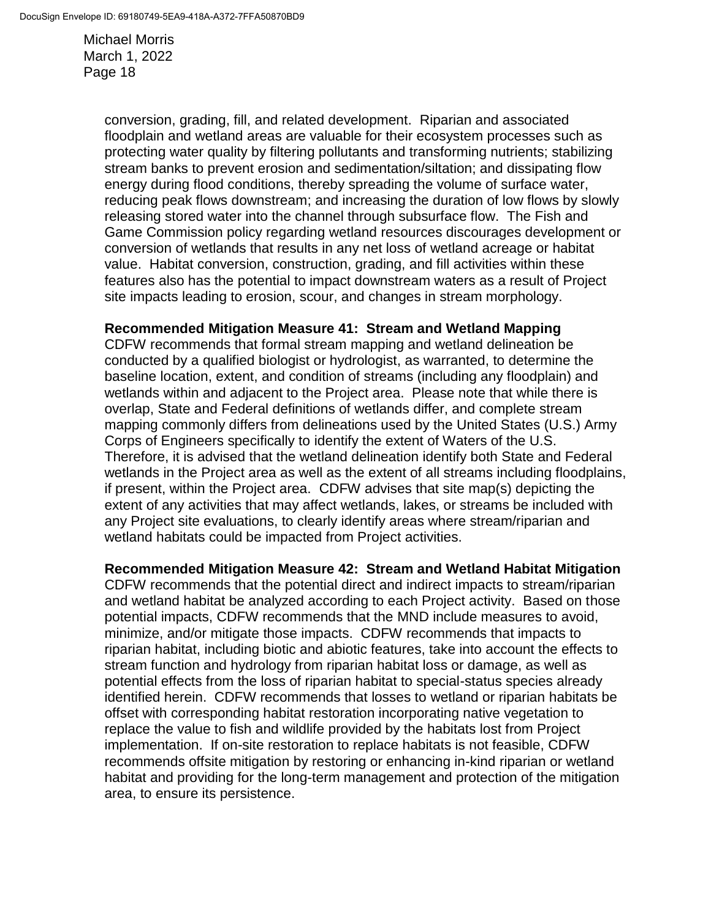> conversion, grading, fill, and related development. Riparian and associated floodplain and wetland areas are valuable for their ecosystem processes such as protecting water quality by filtering pollutants and transforming nutrients; stabilizing stream banks to prevent erosion and sedimentation/siltation; and dissipating flow energy during flood conditions, thereby spreading the volume of surface water, reducing peak flows downstream; and increasing the duration of low flows by slowly releasing stored water into the channel through subsurface flow. The Fish and Game Commission policy regarding wetland resources discourages development or conversion of wetlands that results in any net loss of wetland acreage or habitat value. Habitat conversion, construction, grading, and fill activities within these features also has the potential to impact downstream waters as a result of Project site impacts leading to erosion, scour, and changes in stream morphology.

#### **Recommended Mitigation Measure 41: Stream and Wetland Mapping**

CDFW recommends that formal stream mapping and wetland delineation be conducted by a qualified biologist or hydrologist, as warranted, to determine the baseline location, extent, and condition of streams (including any floodplain) and wetlands within and adjacent to the Project area. Please note that while there is overlap, State and Federal definitions of wetlands differ, and complete stream mapping commonly differs from delineations used by the United States (U.S.) Army Corps of Engineers specifically to identify the extent of Waters of the U.S. Therefore, it is advised that the wetland delineation identify both State and Federal wetlands in the Project area as well as the extent of all streams including floodplains, if present, within the Project area. CDFW advises that site map(s) depicting the extent of any activities that may affect wetlands, lakes, or streams be included with any Project site evaluations, to clearly identify areas where stream/riparian and wetland habitats could be impacted from Project activities.

#### **Recommended Mitigation Measure 42: Stream and Wetland Habitat Mitigation**

CDFW recommends that the potential direct and indirect impacts to stream/riparian and wetland habitat be analyzed according to each Project activity. Based on those potential impacts, CDFW recommends that the MND include measures to avoid, minimize, and/or mitigate those impacts. CDFW recommends that impacts to riparian habitat, including biotic and abiotic features, take into account the effects to stream function and hydrology from riparian habitat loss or damage, as well as potential effects from the loss of riparian habitat to special-status species already identified herein. CDFW recommends that losses to wetland or riparian habitats be offset with corresponding habitat restoration incorporating native vegetation to replace the value to fish and wildlife provided by the habitats lost from Project implementation. If on-site restoration to replace habitats is not feasible, CDFW recommends offsite mitigation by restoring or enhancing in-kind riparian or wetland habitat and providing for the long-term management and protection of the mitigation area, to ensure its persistence.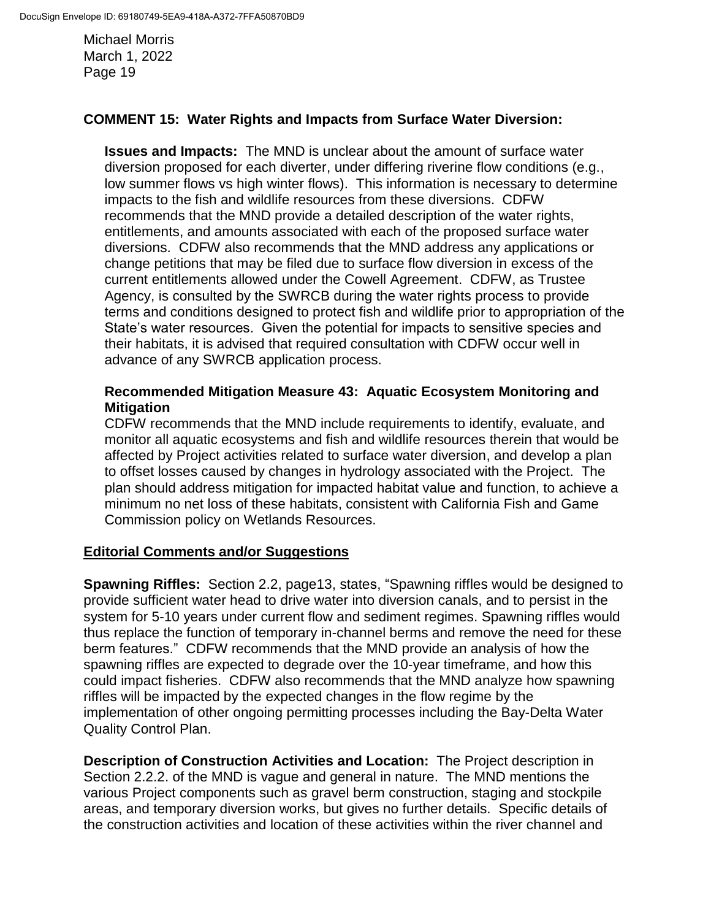## **COMMENT 15: Water Rights and Impacts from Surface Water Diversion:**

**Issues and Impacts:** The MND is unclear about the amount of surface water diversion proposed for each diverter, under differing riverine flow conditions (e.g., low summer flows vs high winter flows). This information is necessary to determine impacts to the fish and wildlife resources from these diversions. CDFW recommends that the MND provide a detailed description of the water rights, entitlements, and amounts associated with each of the proposed surface water diversions. CDFW also recommends that the MND address any applications or change petitions that may be filed due to surface flow diversion in excess of the current entitlements allowed under the Cowell Agreement. CDFW, as Trustee Agency, is consulted by the SWRCB during the water rights process to provide terms and conditions designed to protect fish and wildlife prior to appropriation of the State's water resources. Given the potential for impacts to sensitive species and their habitats, it is advised that required consultation with CDFW occur well in advance of any SWRCB application process.

### **Recommended Mitigation Measure 43: Aquatic Ecosystem Monitoring and Mitigation**

CDFW recommends that the MND include requirements to identify, evaluate, and monitor all aquatic ecosystems and fish and wildlife resources therein that would be affected by Project activities related to surface water diversion, and develop a plan to offset losses caused by changes in hydrology associated with the Project. The plan should address mitigation for impacted habitat value and function, to achieve a minimum no net loss of these habitats, consistent with California Fish and Game Commission policy on Wetlands Resources.

## **Editorial Comments and/or Suggestions**

**Spawning Riffles:** Section 2.2, page13, states, "Spawning riffles would be designed to provide sufficient water head to drive water into diversion canals, and to persist in the system for 5-10 years under current flow and sediment regimes. Spawning riffles would thus replace the function of temporary in-channel berms and remove the need for these berm features." CDFW recommends that the MND provide an analysis of how the spawning riffles are expected to degrade over the 10-year timeframe, and how this could impact fisheries. CDFW also recommends that the MND analyze how spawning riffles will be impacted by the expected changes in the flow regime by the implementation of other ongoing permitting processes including the Bay-Delta Water Quality Control Plan.

**Description of Construction Activities and Location:** The Project description in Section 2.2.2. of the MND is vague and general in nature. The MND mentions the various Project components such as gravel berm construction, staging and stockpile areas, and temporary diversion works, but gives no further details. Specific details of the construction activities and location of these activities within the river channel and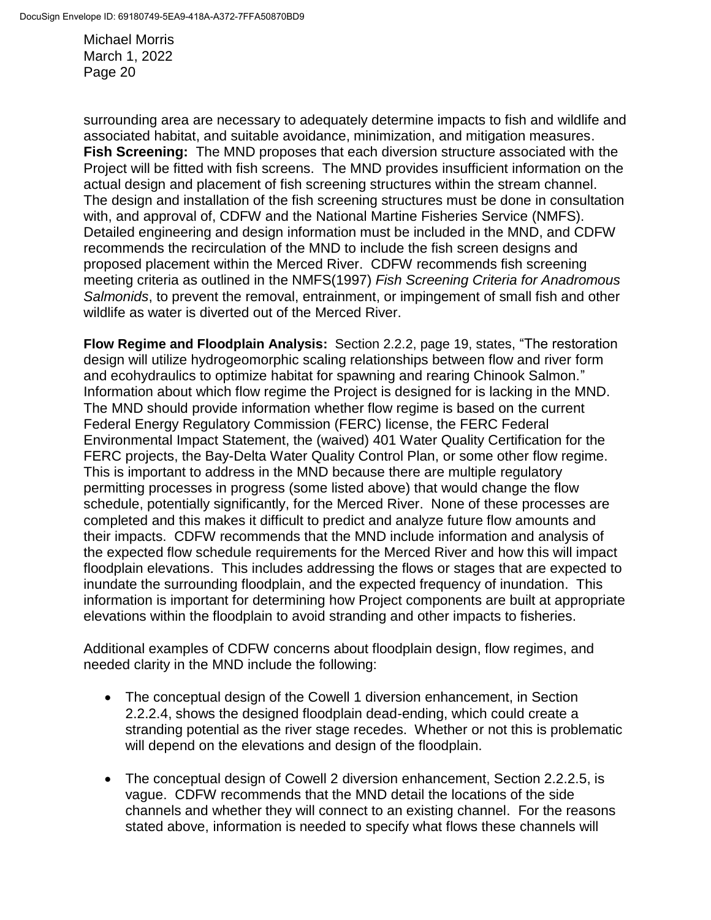surrounding area are necessary to adequately determine impacts to fish and wildlife and associated habitat, and suitable avoidance, minimization, and mitigation measures. **Fish Screening:** The MND proposes that each diversion structure associated with the Project will be fitted with fish screens. The MND provides insufficient information on the actual design and placement of fish screening structures within the stream channel. The design and installation of the fish screening structures must be done in consultation with, and approval of, CDFW and the National Martine Fisheries Service (NMFS). Detailed engineering and design information must be included in the MND, and CDFW recommends the recirculation of the MND to include the fish screen designs and proposed placement within the Merced River. CDFW recommends fish screening meeting criteria as outlined in the NMFS(1997) *Fish Screening Criteria for Anadromous Salmonids*, to prevent the removal, entrainment, or impingement of small fish and other wildlife as water is diverted out of the Merced River.

**Flow Regime and Floodplain Analysis:** Section 2.2.2, page 19, states, "The restoration design will utilize hydrogeomorphic scaling relationships between flow and river form and ecohydraulics to optimize habitat for spawning and rearing Chinook Salmon." Information about which flow regime the Project is designed for is lacking in the MND. The MND should provide information whether flow regime is based on the current Federal Energy Regulatory Commission (FERC) license, the FERC Federal Environmental Impact Statement, the (waived) 401 Water Quality Certification for the FERC projects, the Bay-Delta Water Quality Control Plan, or some other flow regime. This is important to address in the MND because there are multiple regulatory permitting processes in progress (some listed above) that would change the flow schedule, potentially significantly, for the Merced River. None of these processes are completed and this makes it difficult to predict and analyze future flow amounts and their impacts. CDFW recommends that the MND include information and analysis of the expected flow schedule requirements for the Merced River and how this will impact floodplain elevations. This includes addressing the flows or stages that are expected to inundate the surrounding floodplain, and the expected frequency of inundation. This information is important for determining how Project components are built at appropriate elevations within the floodplain to avoid stranding and other impacts to fisheries.

Additional examples of CDFW concerns about floodplain design, flow regimes, and needed clarity in the MND include the following:

- The conceptual design of the Cowell 1 diversion enhancement, in Section 2.2.2.4, shows the designed floodplain dead-ending, which could create a stranding potential as the river stage recedes. Whether or not this is problematic will depend on the elevations and design of the floodplain.
- The conceptual design of Cowell 2 diversion enhancement, Section 2.2.2.5, is vague. CDFW recommends that the MND detail the locations of the side channels and whether they will connect to an existing channel. For the reasons stated above, information is needed to specify what flows these channels will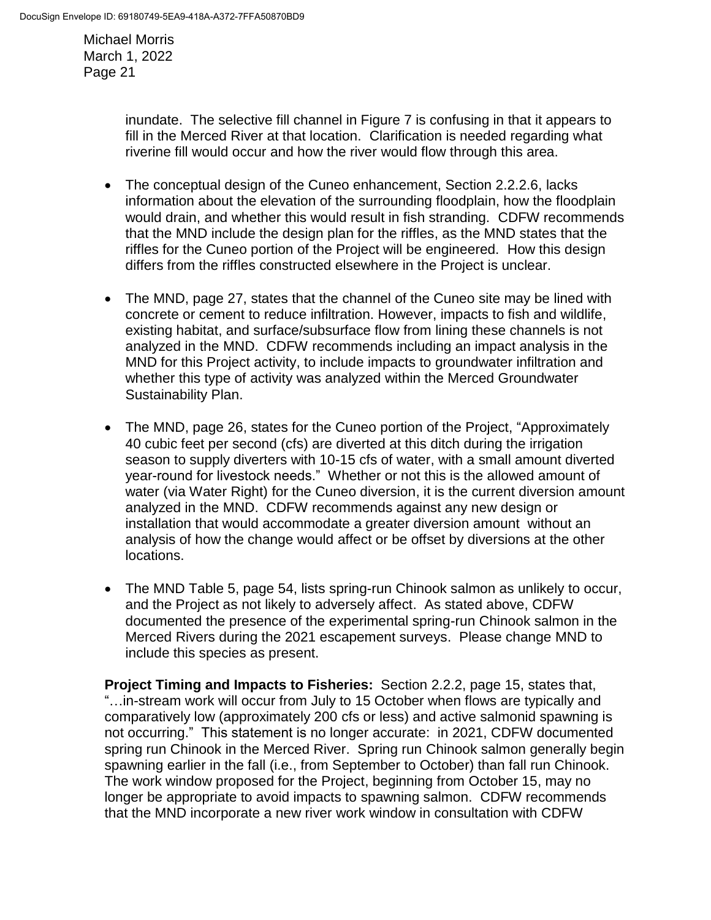> inundate. The selective fill channel in Figure 7 is confusing in that it appears to fill in the Merced River at that location. Clarification is needed regarding what riverine fill would occur and how the river would flow through this area.

- The conceptual design of the Cuneo enhancement, Section 2.2.2.6, lacks information about the elevation of the surrounding floodplain, how the floodplain would drain, and whether this would result in fish stranding. CDFW recommends that the MND include the design plan for the riffles, as the MND states that the riffles for the Cuneo portion of the Project will be engineered. How this design differs from the riffles constructed elsewhere in the Project is unclear.
- The MND, page 27, states that the channel of the Cuneo site may be lined with concrete or cement to reduce infiltration. However, impacts to fish and wildlife, existing habitat, and surface/subsurface flow from lining these channels is not analyzed in the MND. CDFW recommends including an impact analysis in the MND for this Project activity, to include impacts to groundwater infiltration and whether this type of activity was analyzed within the Merced Groundwater Sustainability Plan.
- The MND, page 26, states for the Cuneo portion of the Project, "Approximately 40 cubic feet per second (cfs) are diverted at this ditch during the irrigation season to supply diverters with 10-15 cfs of water, with a small amount diverted year-round for livestock needs." Whether or not this is the allowed amount of water (via Water Right) for the Cuneo diversion, it is the current diversion amount analyzed in the MND. CDFW recommends against any new design or installation that would accommodate a greater diversion amount without an analysis of how the change would affect or be offset by diversions at the other locations.
- The MND Table 5, page 54, lists spring-run Chinook salmon as unlikely to occur, and the Project as not likely to adversely affect. As stated above, CDFW documented the presence of the experimental spring-run Chinook salmon in the Merced Rivers during the 2021 escapement surveys. Please change MND to include this species as present.

**Project Timing and Impacts to Fisheries:** Section 2.2.2, page 15, states that, "…in-stream work will occur from July to 15 October when flows are typically and comparatively low (approximately 200 cfs or less) and active salmonid spawning is not occurring." This statement is no longer accurate: in 2021, CDFW documented spring run Chinook in the Merced River. Spring run Chinook salmon generally begin spawning earlier in the fall (i.e., from September to October) than fall run Chinook. The work window proposed for the Project, beginning from October 15, may no longer be appropriate to avoid impacts to spawning salmon. CDFW recommends that the MND incorporate a new river work window in consultation with CDFW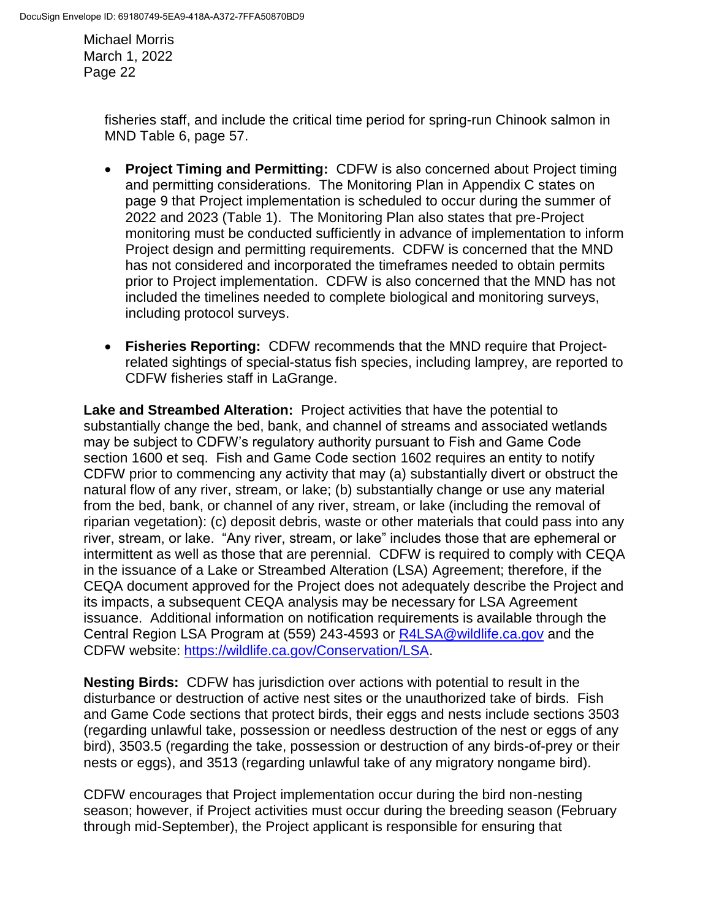> fisheries staff, and include the critical time period for spring-run Chinook salmon in MND Table 6, page 57.

- **Project Timing and Permitting:** CDFW is also concerned about Project timing and permitting considerations. The Monitoring Plan in Appendix C states on page 9 that Project implementation is scheduled to occur during the summer of 2022 and 2023 (Table 1). The Monitoring Plan also states that pre-Project monitoring must be conducted sufficiently in advance of implementation to inform Project design and permitting requirements. CDFW is concerned that the MND has not considered and incorporated the timeframes needed to obtain permits prior to Project implementation. CDFW is also concerned that the MND has not included the timelines needed to complete biological and monitoring surveys, including protocol surveys.
- **Fisheries Reporting:** CDFW recommends that the MND require that Projectrelated sightings of special-status fish species, including lamprey, are reported to CDFW fisheries staff in LaGrange.

**Lake and Streambed Alteration:** Project activities that have the potential to substantially change the bed, bank, and channel of streams and associated wetlands may be subject to CDFW's regulatory authority pursuant to Fish and Game Code section 1600 et seq. Fish and Game Code section 1602 requires an entity to notify CDFW prior to commencing any activity that may (a) substantially divert or obstruct the natural flow of any river, stream, or lake; (b) substantially change or use any material from the bed, bank, or channel of any river, stream, or lake (including the removal of riparian vegetation): (c) deposit debris, waste or other materials that could pass into any river, stream, or lake. "Any river, stream, or lake" includes those that are ephemeral or intermittent as well as those that are perennial. CDFW is required to comply with CEQA in the issuance of a Lake or Streambed Alteration (LSA) Agreement; therefore, if the CEQA document approved for the Project does not adequately describe the Project and its impacts, a subsequent CEQA analysis may be necessary for LSA Agreement issuance. Additional information on notification requirements is available through the Central Region LSA Program at (559) 243-4593 or [R4LSA@wildlife.ca.gov](mailto:R4LSA@wildlife.ca.gov) and the CDFW website: [https://wildlife.ca.gov/Conservation/LSA.](https://wildlife.ca.gov/Conservation/LSA)

**Nesting Birds:** CDFW has jurisdiction over actions with potential to result in the disturbance or destruction of active nest sites or the unauthorized take of birds. Fish and Game Code sections that protect birds, their eggs and nests include sections 3503 (regarding unlawful take, possession or needless destruction of the nest or eggs of any bird), 3503.5 (regarding the take, possession or destruction of any birds-of-prey or their nests or eggs), and 3513 (regarding unlawful take of any migratory nongame bird).

CDFW encourages that Project implementation occur during the bird non-nesting season; however, if Project activities must occur during the breeding season (February through mid-September), the Project applicant is responsible for ensuring that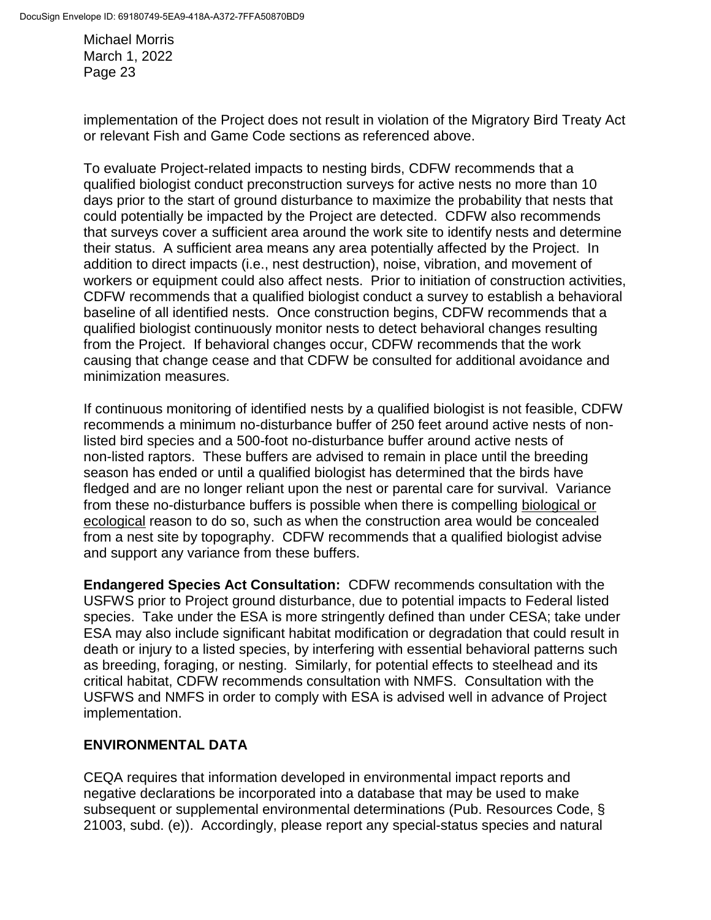implementation of the Project does not result in violation of the Migratory Bird Treaty Act or relevant Fish and Game Code sections as referenced above.

To evaluate Project-related impacts to nesting birds, CDFW recommends that a qualified biologist conduct preconstruction surveys for active nests no more than 10 days prior to the start of ground disturbance to maximize the probability that nests that could potentially be impacted by the Project are detected. CDFW also recommends that surveys cover a sufficient area around the work site to identify nests and determine their status. A sufficient area means any area potentially affected by the Project. In addition to direct impacts (i.e., nest destruction), noise, vibration, and movement of workers or equipment could also affect nests. Prior to initiation of construction activities, CDFW recommends that a qualified biologist conduct a survey to establish a behavioral baseline of all identified nests. Once construction begins, CDFW recommends that a qualified biologist continuously monitor nests to detect behavioral changes resulting from the Project. If behavioral changes occur, CDFW recommends that the work causing that change cease and that CDFW be consulted for additional avoidance and minimization measures.

If continuous monitoring of identified nests by a qualified biologist is not feasible, CDFW recommends a minimum no-disturbance buffer of 250 feet around active nests of nonlisted bird species and a 500-foot no-disturbance buffer around active nests of non-listed raptors. These buffers are advised to remain in place until the breeding season has ended or until a qualified biologist has determined that the birds have fledged and are no longer reliant upon the nest or parental care for survival. Variance from these no-disturbance buffers is possible when there is compelling biological or ecological reason to do so, such as when the construction area would be concealed from a nest site by topography. CDFW recommends that a qualified biologist advise and support any variance from these buffers.

**Endangered Species Act Consultation:** CDFW recommends consultation with the USFWS prior to Project ground disturbance, due to potential impacts to Federal listed species. Take under the ESA is more stringently defined than under CESA; take under ESA may also include significant habitat modification or degradation that could result in death or injury to a listed species, by interfering with essential behavioral patterns such as breeding, foraging, or nesting. Similarly, for potential effects to steelhead and its critical habitat, CDFW recommends consultation with NMFS. Consultation with the USFWS and NMFS in order to comply with ESA is advised well in advance of Project implementation.

## **ENVIRONMENTAL DATA**

CEQA requires that information developed in environmental impact reports and negative declarations be incorporated into a database that may be used to make subsequent or supplemental environmental determinations (Pub. Resources Code, § 21003, subd. (e)). Accordingly, please report any special-status species and natural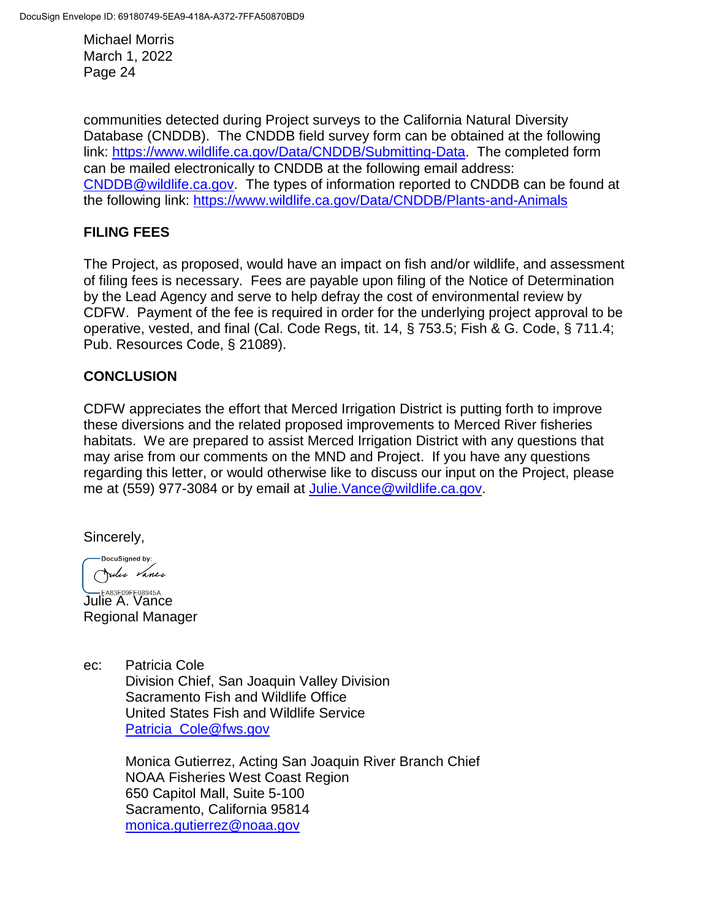communities detected during Project surveys to the California Natural Diversity Database (CNDDB). The CNDDB field survey form can be obtained at the following link: [https://www.wildlife.ca.gov/Data/CNDDB/Submitting-Data.](https://www.wildlife.ca.gov/Data/CNDDB/Submitting-Data) The completed form can be mailed electronically to CNDDB at the following email address: [CNDDB@wildlife.ca.gov.](mailto:cnddb@dfg.ca.gov) The types of information reported to CNDDB can be found at the following link:<https://www.wildlife.ca.gov/Data/CNDDB/Plants-and-Animals>

# **FILING FEES**

The Project, as proposed, would have an impact on fish and/or wildlife, and assessment of filing fees is necessary. Fees are payable upon filing of the Notice of Determination by the Lead Agency and serve to help defray the cost of environmental review by CDFW. Payment of the fee is required in order for the underlying project approval to be operative, vested, and final (Cal. Code Regs, tit. 14, § 753.5; Fish & G. Code, § 711.4; Pub. Resources Code, § 21089).

# **CONCLUSION**

CDFW appreciates the effort that Merced Irrigation District is putting forth to improve these diversions and the related proposed improvements to Merced River fisheries habitats. We are prepared to assist Merced Irrigation District with any questions that may arise from our comments on the MND and Project. If you have any questions regarding this letter, or would otherwise like to discuss our input on the Project, please me at (559) 977-3084 or by email at [Julie.Vance@wildlife.ca.gov.](mailto:Julie.Vance@wildlife.ca.gov)

Sincerely,

DocuSigned by: Julie Vance

**LEA83F09FE08945A...**<br>Julie A. Vance Regional Manager

ec: Patricia Cole Division Chief, San Joaquin Valley Division Sacramento Fish and Wildlife Office United States Fish and Wildlife Service [Patricia\\_Cole@fws.gov](mailto:Patricia_Cole@fws.gov)

> Monica Gutierrez, Acting San Joaquin River Branch Chief NOAA Fisheries West Coast Region 650 Capitol Mall, Suite 5-100 Sacramento, California 95814 [monica.gutierrez@noaa.gov](mailto:monica.gutierrez@noaa.gov)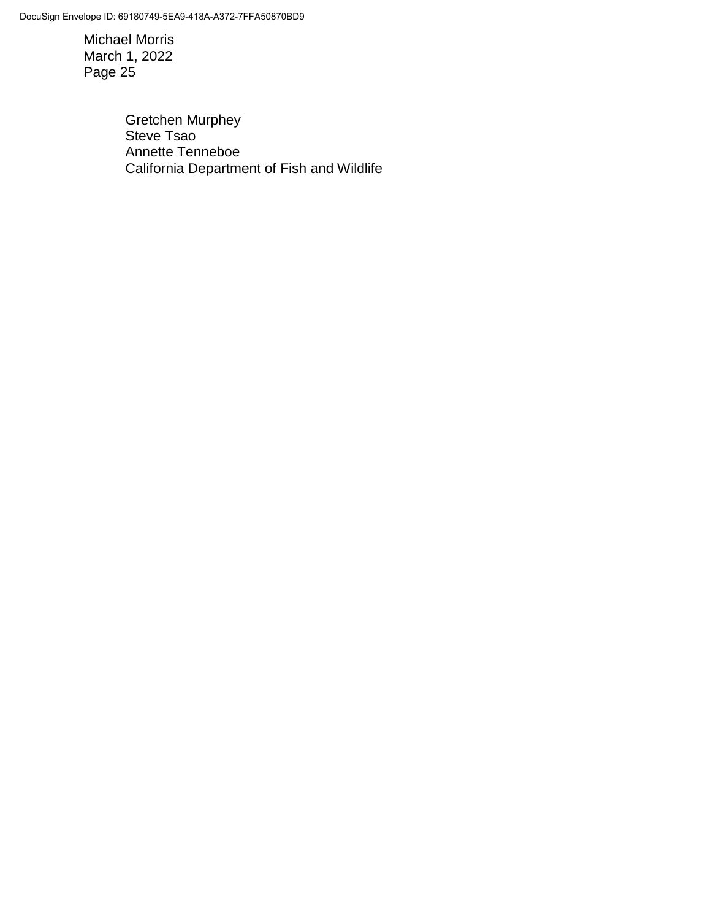DocuSign Envelope ID: 69180749-5EA9-418A-A372-7FFA50870BD9

Michael Morris March 1, 2022 Page 25

> Gretchen Murphey Steve Tsao Annette Tenneboe California Department of Fish and Wildlife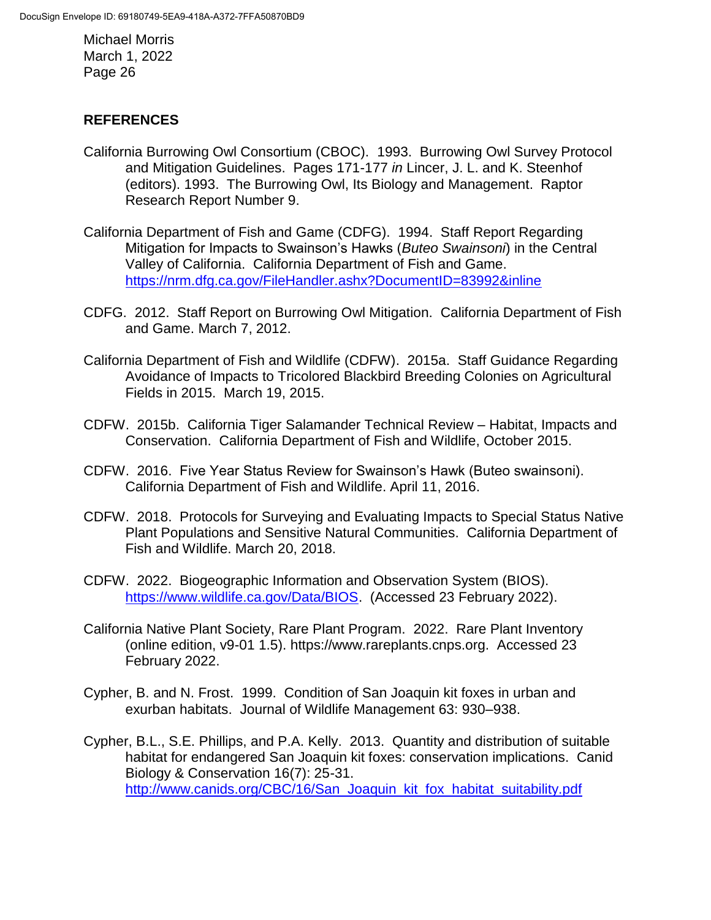## **REFERENCES**

- California Burrowing Owl Consortium (CBOC). 1993. Burrowing Owl Survey Protocol and Mitigation Guidelines. Pages 171-177 *in* Lincer, J. L. and K. Steenhof (editors). 1993. The Burrowing Owl, Its Biology and Management. Raptor Research Report Number 9.
- California Department of Fish and Game (CDFG). 1994. Staff Report Regarding Mitigation for Impacts to Swainson's Hawks (*Buteo Swainsoni*) in the Central Valley of California. California Department of Fish and Game. <https://nrm.dfg.ca.gov/FileHandler.ashx?DocumentID=83992&inline>
- CDFG. 2012. Staff Report on Burrowing Owl Mitigation. California Department of Fish and Game. March 7, 2012.
- California Department of Fish and Wildlife (CDFW). 2015a. Staff Guidance Regarding Avoidance of Impacts to Tricolored Blackbird Breeding Colonies on Agricultural Fields in 2015. March 19, 2015.
- CDFW. 2015b. California Tiger Salamander Technical Review Habitat, Impacts and Conservation. California Department of Fish and Wildlife, October 2015.
- CDFW. 2016. Five Year Status Review for Swainson's Hawk (Buteo swainsoni). California Department of Fish and Wildlife. April 11, 2016.
- CDFW. 2018. Protocols for Surveying and Evaluating Impacts to Special Status Native Plant Populations and Sensitive Natural Communities. California Department of Fish and Wildlife. March 20, 2018.
- CDFW. 2022. Biogeographic Information and Observation System (BIOS). [https://www.wildlife.ca.gov/Data/BIOS.](https://www.wildlife.ca.gov/Data/BIOS) (Accessed 23 February 2022).
- California Native Plant Society, Rare Plant Program. 2022. Rare Plant Inventory (online edition, v9-01 1.5). https://www.rareplants.cnps.org. Accessed 23 February 2022.
- Cypher, B. and N. Frost. 1999. Condition of San Joaquin kit foxes in urban and exurban habitats. Journal of Wildlife Management 63: 930–938.
- Cypher, B.L., S.E. Phillips, and P.A. Kelly. 2013. Quantity and distribution of suitable habitat for endangered San Joaquin kit foxes: conservation implications. Canid Biology & Conservation 16(7): 25-31. [http://www.canids.org/CBC/16/San\\_Joaquin\\_kit\\_fox\\_habitat\\_suitability.pdf](http://www.canids.org/CBC/16/San_Joaquin_kit_fox_habitat_suitability.pdf)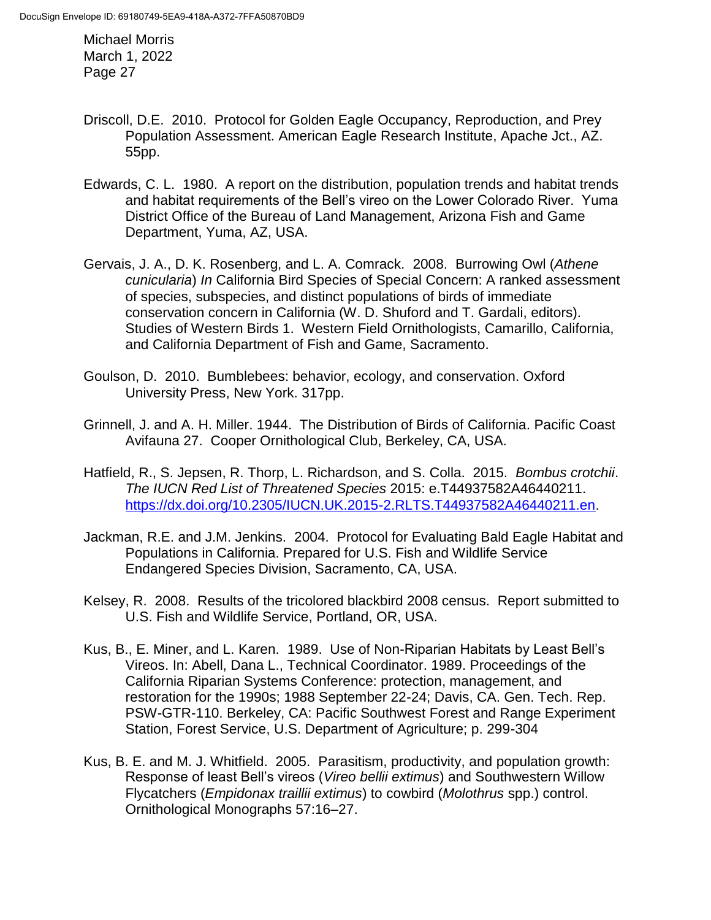- Driscoll, D.E. 2010. Protocol for Golden Eagle Occupancy, Reproduction, and Prey Population Assessment. American Eagle Research Institute, Apache Jct., AZ. 55pp.
- Edwards, C. L. 1980. A report on the distribution, population trends and habitat trends and habitat requirements of the Bell's vireo on the Lower Colorado River. Yuma District Office of the Bureau of Land Management, Arizona Fish and Game Department, Yuma, AZ, USA.
- Gervais, J. A., D. K. Rosenberg, and L. A. Comrack. 2008. Burrowing Owl (*Athene cunicularia*) *In* California Bird Species of Special Concern: A ranked assessment of species, subspecies, and distinct populations of birds of immediate conservation concern in California (W. D. Shuford and T. Gardali, editors). Studies of Western Birds 1. Western Field Ornithologists, Camarillo, California, and California Department of Fish and Game, Sacramento.
- Goulson, D. 2010. Bumblebees: behavior, ecology, and conservation. Oxford University Press, New York. 317pp.
- Grinnell, J. and A. H. Miller. 1944. The Distribution of Birds of California. Pacific Coast Avifauna 27. Cooper Ornithological Club, Berkeley, CA, USA.
- Hatfield, R., S. Jepsen, R. Thorp, L. Richardson, and S. Colla. 2015. *Bombus crotchii*. *The IUCN Red List of Threatened Species* 2015: e.T44937582A46440211. [https://dx.doi.org/10.2305/IUCN.UK.2015-2.RLTS.T44937582A46440211.en.](https://dx.doi.org/10.2305/IUCN.UK.2015-2.RLTS.T44937582A46440211.en)
- Jackman, R.E. and J.M. Jenkins. 2004. Protocol for Evaluating Bald Eagle Habitat and Populations in California. Prepared for U.S. Fish and Wildlife Service Endangered Species Division, Sacramento, CA, USA.
- Kelsey, R. 2008. Results of the tricolored blackbird 2008 census. Report submitted to U.S. Fish and Wildlife Service, Portland, OR, USA.
- Kus, B., E. Miner, and L. Karen. 1989. Use of Non-Riparian Habitats by Least Bell's Vireos. In: Abell, Dana L., Technical Coordinator. 1989. Proceedings of the California Riparian Systems Conference: protection, management, and restoration for the 1990s; 1988 September 22-24; Davis, CA. Gen. Tech. Rep. PSW-GTR-110. Berkeley, CA: Pacific Southwest Forest and Range Experiment Station, Forest Service, U.S. Department of Agriculture; p. 299-304
- Kus, B. E. and M. J. Whitfield. 2005. Parasitism, productivity, and population growth: Response of least Bell's vireos (*Vireo bellii extimus*) and Southwestern Willow Flycatchers (*Empidonax traillii extimus*) to cowbird (*Molothrus* spp.) control. Ornithological Monographs 57:16–27.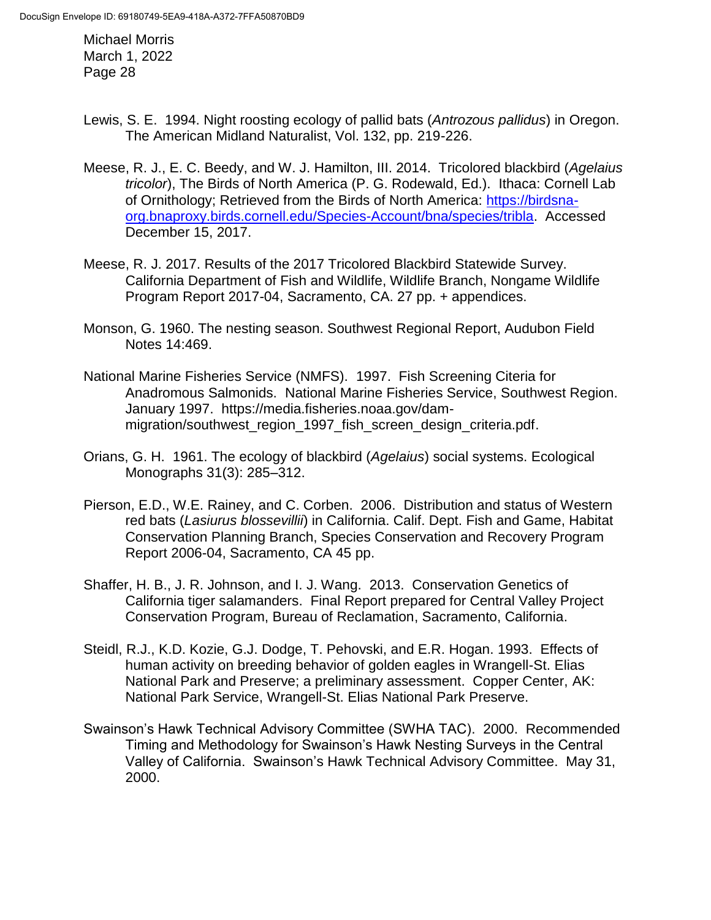- Lewis, S. E. 1994. Night roosting ecology of pallid bats (*Antrozous pallidus*) in Oregon. The American Midland Naturalist, Vol. 132, pp. 219-226.
- Meese, R. J., E. C. Beedy, and W. J. Hamilton, III. 2014. Tricolored blackbird (*Agelaius tricolor*), The Birds of North America (P. G. Rodewald, Ed.). Ithaca: Cornell Lab of Ornithology; Retrieved from the Birds of North America: [https://birdsna](https://birdsna-org.bnaproxy.birds.cornell.edu/Species-Account/bna/species/tribla)[org.bnaproxy.birds.cornell.edu/Species-Account/bna/species/tribla.](https://birdsna-org.bnaproxy.birds.cornell.edu/Species-Account/bna/species/tribla) Accessed December 15, 2017.
- Meese, R. J. 2017. Results of the 2017 Tricolored Blackbird Statewide Survey. California Department of Fish and Wildlife, Wildlife Branch, Nongame Wildlife Program Report 2017-04, Sacramento, CA. 27 pp. + appendices.
- Monson, G. 1960. The nesting season. Southwest Regional Report, Audubon Field Notes 14:469.
- National Marine Fisheries Service (NMFS). 1997. Fish Screening Citeria for Anadromous Salmonids. National Marine Fisheries Service, Southwest Region. January 1997. https://media.fisheries.noaa.gov/dammigration/southwest region 1997 fish screen design criteria.pdf.
- Orians, G. H. 1961. The ecology of blackbird (*Agelaius*) social systems. Ecological Monographs 31(3): 285–312.
- Pierson, E.D., W.E. Rainey, and C. Corben. 2006. Distribution and status of Western red bats (*Lasiurus blossevillii*) in California. Calif. Dept. Fish and Game, Habitat Conservation Planning Branch, Species Conservation and Recovery Program Report 2006-04, Sacramento, CA 45 pp.
- Shaffer, H. B., J. R. Johnson, and I. J. Wang. 2013. Conservation Genetics of California tiger salamanders. Final Report prepared for Central Valley Project Conservation Program, Bureau of Reclamation, Sacramento, California.
- Steidl, R.J., K.D. Kozie, G.J. Dodge, T. Pehovski, and E.R. Hogan. 1993. Effects of human activity on breeding behavior of golden eagles in Wrangell-St. Elias National Park and Preserve; a preliminary assessment. Copper Center, AK: National Park Service, Wrangell-St. Elias National Park Preserve.
- Swainson's Hawk Technical Advisory Committee (SWHA TAC). 2000. Recommended Timing and Methodology for Swainson's Hawk Nesting Surveys in the Central Valley of California. Swainson's Hawk Technical Advisory Committee. May 31, 2000.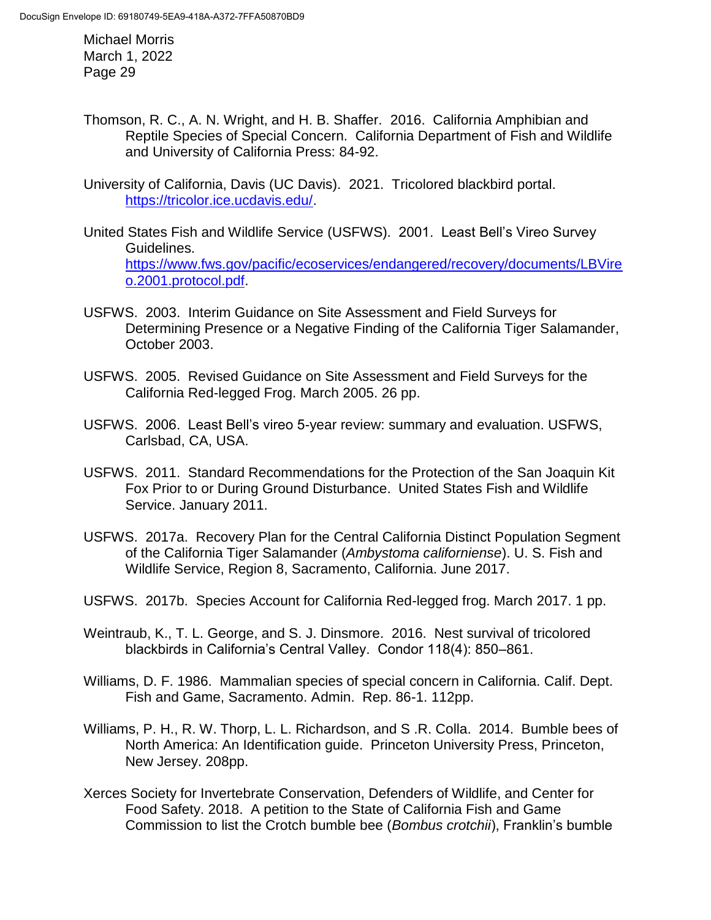- Thomson, R. C., A. N. Wright, and H. B. Shaffer. 2016. California Amphibian and Reptile Species of Special Concern. California Department of Fish and Wildlife and University of California Press: 84-92.
- University of California, Davis (UC Davis). 2021. Tricolored blackbird portal. [https://tricolor.ice.ucdavis.edu/.](https://tricolor.ice.ucdavis.edu/)
- United States Fish and Wildlife Service (USFWS). 2001. Least Bell's Vireo Survey Guidelines. [https://www.fws.gov/pacific/ecoservices/endangered/recovery/documents/LBVire](https://www.fws.gov/pacific/ecoservices/endangered/recovery/documents/LBVireo.2001.protocol.pdf) [o.2001.protocol.pdf.](https://www.fws.gov/pacific/ecoservices/endangered/recovery/documents/LBVireo.2001.protocol.pdf)
- USFWS. 2003. Interim Guidance on Site Assessment and Field Surveys for Determining Presence or a Negative Finding of the California Tiger Salamander, October 2003.
- [USFWS.](http://www.fws.gov/southwest/es/oklahoma/documents/te_species/wind%20power/usfws_interim_goea_monitoring_protocol_10march2010.pdf) 2005. Revised Guidance on Site Assessment and Field Surveys for the California Red-legged Frog. March 2005. 26 pp.
- USFWS. 2006. Least Bell's vireo 5-year review: summary and evaluation. USFWS, Carlsbad, CA, USA.
- USFWS. 2011. Standard Recommendations for the Protection of the San Joaquin Kit Fox Prior to or During Ground Disturbance. United States Fish and Wildlife Service. January 2011.
- USFWS. 2017a. Recovery Plan for the Central California Distinct Population Segment of the California Tiger Salamander (*Ambystoma californiense*). U. S. Fish and Wildlife Service, Region 8, Sacramento, California. June 2017.
- USFWS. 2017b. Species Account for California Red-legged frog. March 2017. 1 pp.
- Weintraub, K., T. L. George, and S. J. Dinsmore. 2016. Nest survival of tricolored blackbirds in California's Central Valley. Condor 118(4): 850–861.
- Williams, D. F. 1986. Mammalian species of special concern in California. Calif. Dept. Fish and Game, Sacramento. Admin. Rep. 86-1. 112pp.
- Williams, P. H., R. W. Thorp, L. L. Richardson, and S .R. Colla. 2014. Bumble bees of North America: An Identification guide. Princeton University Press, Princeton, New Jersey. 208pp.
- Xerces Society for Invertebrate Conservation, Defenders of Wildlife, and Center for Food Safety. 2018. A petition to the State of California Fish and Game Commission to list the Crotch bumble bee (*Bombus crotchii*), Franklin's bumble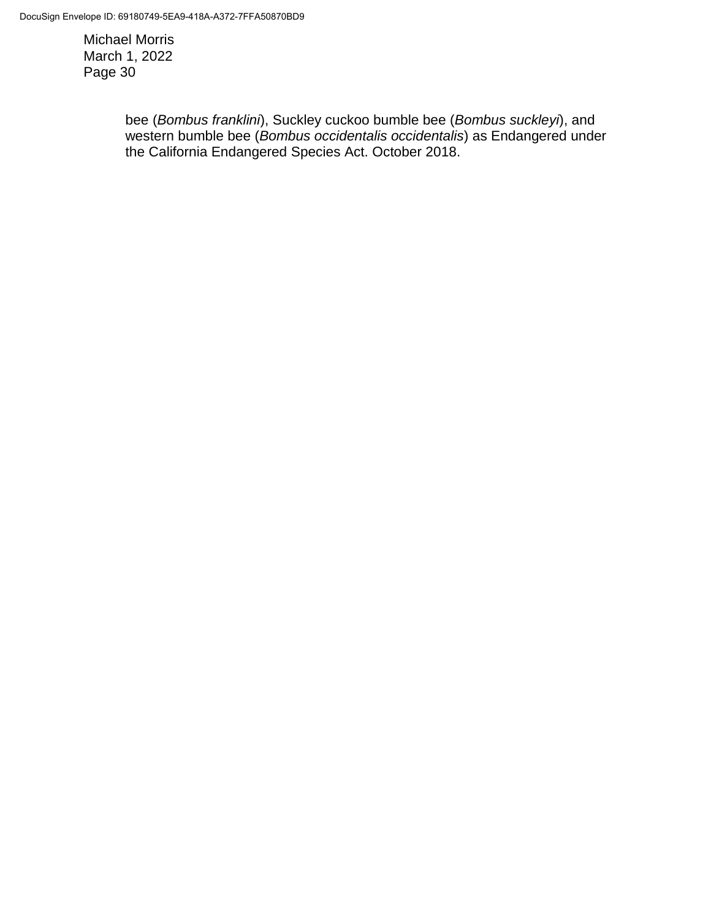> bee (*Bombus franklini*), Suckley cuckoo bumble bee (*Bombus suckleyi*), and western bumble bee (*Bombus occidentalis occidentalis*) as Endangered under the California Endangered Species Act. October 2018.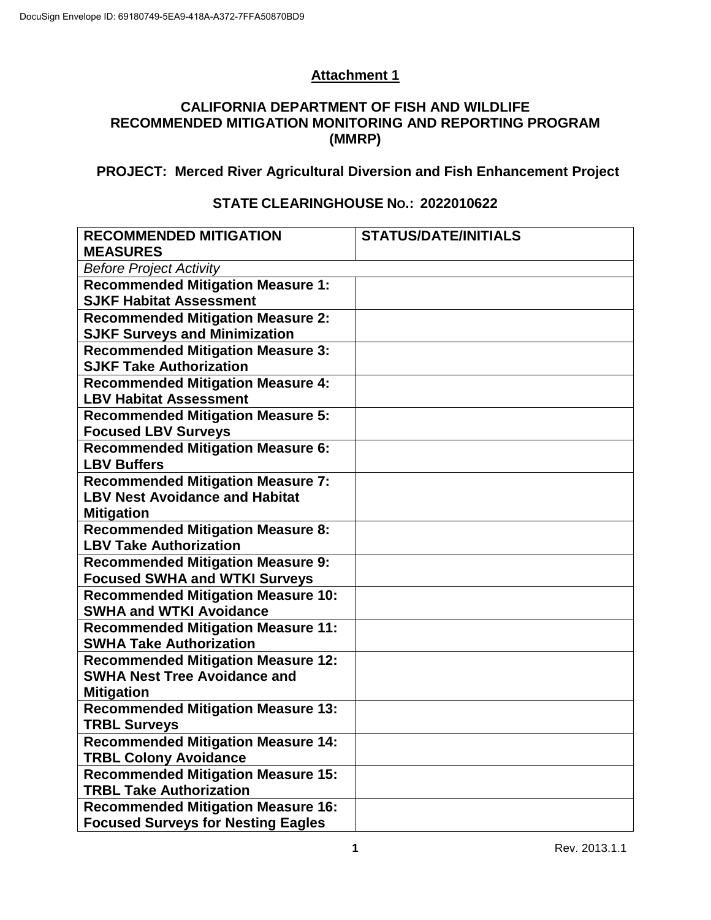# **Attachment 1**

#### **CALIFORNIA DEPARTMENT OF FISH AND WILDLIFE RECOMMENDED MITIGATION MONITORING AND REPORTING PROGRAM (MMRP)**

## **PROJECT: Merced River Agricultural Diversion and Fish Enhancement Project**

#### **STATE CLEARINGHOUSE NO.: 2022010622**

| <b>RECOMMENDED MITIGATION</b><br><b>MEASURES</b>                            | <b>STATUS/DATE/INITIALS</b> |  |  |  |
|-----------------------------------------------------------------------------|-----------------------------|--|--|--|
| <b>Before Project Activity</b>                                              |                             |  |  |  |
| <b>Recommended Mitigation Measure 1:</b>                                    |                             |  |  |  |
| <b>SJKF Habitat Assessment</b>                                              |                             |  |  |  |
| <b>Recommended Mitigation Measure 2:</b>                                    |                             |  |  |  |
| <b>SJKF Surveys and Minimization</b>                                        |                             |  |  |  |
| <b>Recommended Mitigation Measure 3:</b>                                    |                             |  |  |  |
| <b>SJKF Take Authorization</b>                                              |                             |  |  |  |
| <b>Recommended Mitigation Measure 4:</b>                                    |                             |  |  |  |
| <b>LBV Habitat Assessment</b>                                               |                             |  |  |  |
| <b>Recommended Mitigation Measure 5:</b><br><b>Focused LBV Surveys</b>      |                             |  |  |  |
| <b>Recommended Mitigation Measure 6:</b>                                    |                             |  |  |  |
| <b>LBV Buffers</b>                                                          |                             |  |  |  |
| <b>Recommended Mitigation Measure 7:</b>                                    |                             |  |  |  |
| <b>LBV Nest Avoidance and Habitat</b>                                       |                             |  |  |  |
| <b>Mitigation</b>                                                           |                             |  |  |  |
| <b>Recommended Mitigation Measure 8:</b>                                    |                             |  |  |  |
| <b>LBV Take Authorization</b>                                               |                             |  |  |  |
| <b>Recommended Mitigation Measure 9:</b>                                    |                             |  |  |  |
| <b>Focused SWHA and WTKI Surveys</b>                                        |                             |  |  |  |
| <b>Recommended Mitigation Measure 10:</b><br><b>SWHA and WTKI Avoidance</b> |                             |  |  |  |
| <b>Recommended Mitigation Measure 11:</b>                                   |                             |  |  |  |
| <b>SWHA Take Authorization</b>                                              |                             |  |  |  |
| <b>Recommended Mitigation Measure 12:</b>                                   |                             |  |  |  |
| <b>SWHA Nest Tree Avoidance and</b>                                         |                             |  |  |  |
| <b>Mitigation</b>                                                           |                             |  |  |  |
| <b>Recommended Mitigation Measure 13:</b>                                   |                             |  |  |  |
| <b>TRBL Surveys</b>                                                         |                             |  |  |  |
| <b>Recommended Mitigation Measure 14:</b><br><b>TRBL Colony Avoidance</b>   |                             |  |  |  |
| <b>Recommended Mitigation Measure 15:</b>                                   |                             |  |  |  |
| <b>TRBL Take Authorization</b>                                              |                             |  |  |  |
| <b>Recommended Mitigation Measure 16:</b>                                   |                             |  |  |  |
| <b>Focused Surveys for Nesting Eagles</b>                                   |                             |  |  |  |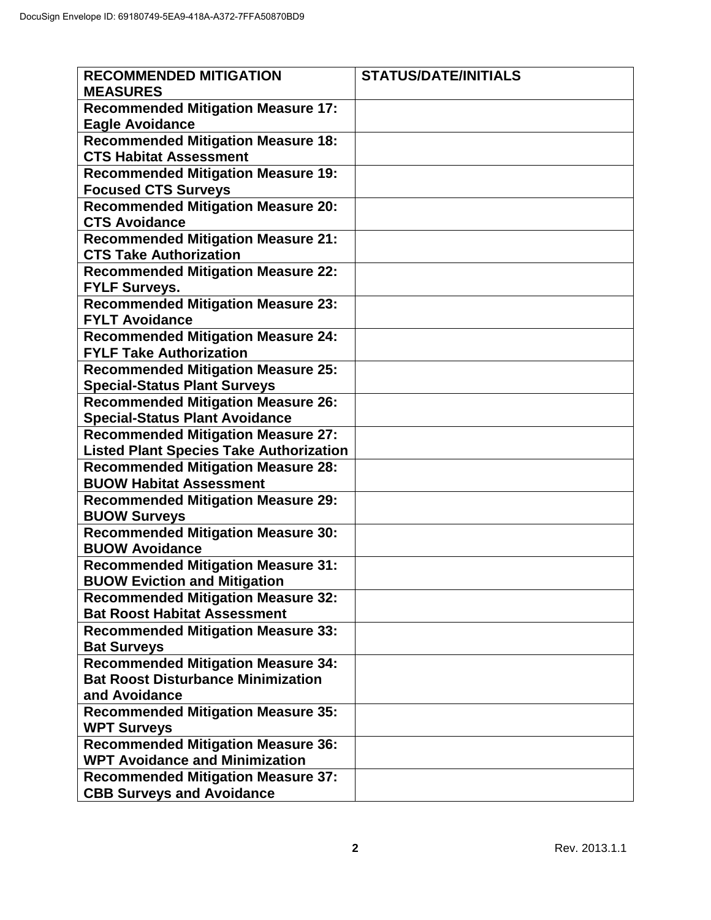| <b>RECOMMENDED MITIGATION</b><br><b>MEASURES</b>                                       | <b>STATUS/DATE/INITIALS</b> |
|----------------------------------------------------------------------------------------|-----------------------------|
| <b>Recommended Mitigation Measure 17:</b><br><b>Eagle Avoidance</b>                    |                             |
| <b>Recommended Mitigation Measure 18:</b>                                              |                             |
| <b>CTS Habitat Assessment</b>                                                          |                             |
| <b>Recommended Mitigation Measure 19:</b>                                              |                             |
| <b>Focused CTS Surveys</b>                                                             |                             |
| <b>Recommended Mitigation Measure 20:</b>                                              |                             |
| <b>CTS Avoidance</b>                                                                   |                             |
| <b>Recommended Mitigation Measure 21:</b>                                              |                             |
| <b>CTS Take Authorization</b>                                                          |                             |
| <b>Recommended Mitigation Measure 22:</b>                                              |                             |
| <b>FYLF Surveys.</b>                                                                   |                             |
| <b>Recommended Mitigation Measure 23:</b><br><b>FYLT Avoidance</b>                     |                             |
| <b>Recommended Mitigation Measure 24:</b>                                              |                             |
| <b>FYLF Take Authorization</b>                                                         |                             |
| <b>Recommended Mitigation Measure 25:</b>                                              |                             |
| <b>Special-Status Plant Surveys</b>                                                    |                             |
| <b>Recommended Mitigation Measure 26:</b>                                              |                             |
| <b>Special-Status Plant Avoidance</b>                                                  |                             |
| <b>Recommended Mitigation Measure 27:</b>                                              |                             |
| <b>Listed Plant Species Take Authorization</b>                                         |                             |
| <b>Recommended Mitigation Measure 28:</b>                                              |                             |
| <b>BUOW Habitat Assessment</b>                                                         |                             |
| <b>Recommended Mitigation Measure 29:</b>                                              |                             |
| <b>BUOW Surveys</b>                                                                    |                             |
| <b>Recommended Mitigation Measure 30:</b>                                              |                             |
| <b>BUOW Avoidance</b>                                                                  |                             |
| <b>Recommended Mitigation Measure 31:</b>                                              |                             |
| <b>BUOW Eviction and Mitigation</b>                                                    |                             |
| <b>Recommended Mitigation Measure 32:</b>                                              |                             |
| <b>Bat Roost Habitat Assessment</b>                                                    |                             |
| <b>Recommended Mitigation Measure 33:</b>                                              |                             |
| <b>Bat Surveys</b>                                                                     |                             |
| <b>Recommended Mitigation Measure 34:</b><br><b>Bat Roost Disturbance Minimization</b> |                             |
| and Avoidance                                                                          |                             |
| <b>Recommended Mitigation Measure 35:</b>                                              |                             |
| <b>WPT Surveys</b>                                                                     |                             |
| <b>Recommended Mitigation Measure 36:</b>                                              |                             |
| <b>WPT Avoidance and Minimization</b>                                                  |                             |
| <b>Recommended Mitigation Measure 37:</b>                                              |                             |
| <b>CBB Surveys and Avoidance</b>                                                       |                             |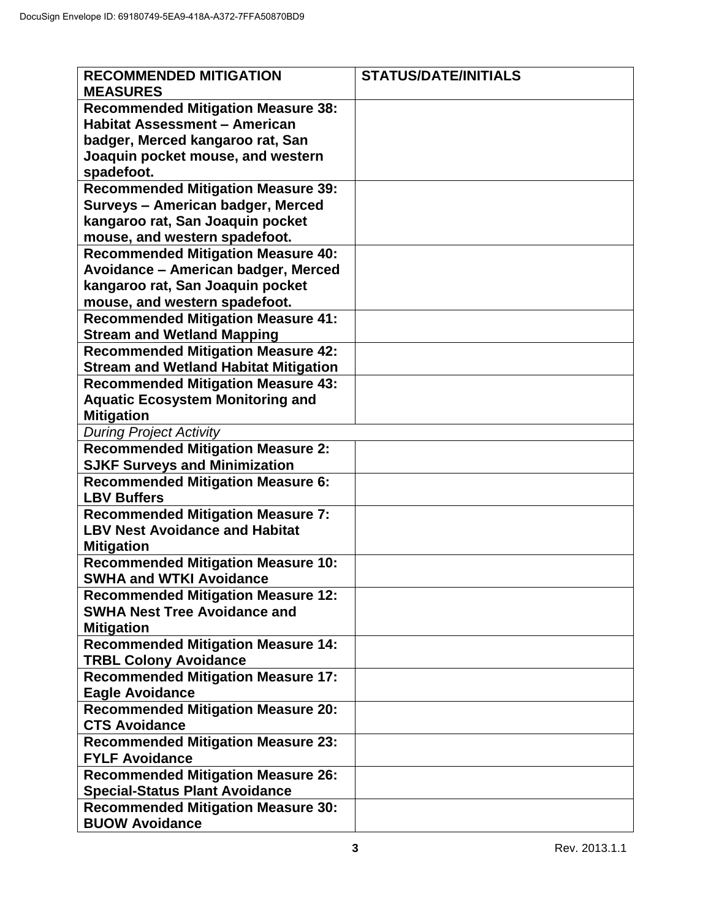| <b>RECOMMENDED MITIGATION</b>                                                     | <b>STATUS/DATE/INITIALS</b> |
|-----------------------------------------------------------------------------------|-----------------------------|
| <b>MEASURES</b>                                                                   |                             |
| <b>Recommended Mitigation Measure 38:</b>                                         |                             |
| <b>Habitat Assessment - American</b>                                              |                             |
| badger, Merced kangaroo rat, San<br>Joaquin pocket mouse, and western             |                             |
| spadefoot.                                                                        |                             |
| <b>Recommended Mitigation Measure 39:</b>                                         |                             |
| Surveys - American badger, Merced                                                 |                             |
| kangaroo rat, San Joaquin pocket                                                  |                             |
| mouse, and western spadefoot.                                                     |                             |
| <b>Recommended Mitigation Measure 40:</b><br>Avoidance - American badger, Merced  |                             |
| kangaroo rat, San Joaquin pocket                                                  |                             |
| mouse, and western spadefoot.                                                     |                             |
| <b>Recommended Mitigation Measure 41:</b>                                         |                             |
| <b>Stream and Wetland Mapping</b>                                                 |                             |
| <b>Recommended Mitigation Measure 42:</b>                                         |                             |
| <b>Stream and Wetland Habitat Mitigation</b>                                      |                             |
| <b>Recommended Mitigation Measure 43:</b>                                         |                             |
| <b>Aquatic Ecosystem Monitoring and</b><br><b>Mitigation</b>                      |                             |
| <b>During Project Activity</b>                                                    |                             |
| <b>Recommended Mitigation Measure 2:</b>                                          |                             |
| <b>SJKF Surveys and Minimization</b>                                              |                             |
| <b>Recommended Mitigation Measure 6:</b>                                          |                             |
| <b>LBV Buffers</b>                                                                |                             |
| <b>Recommended Mitigation Measure 7:</b><br><b>LBV Nest Avoidance and Habitat</b> |                             |
| <b>Mitigation</b>                                                                 |                             |
| <b>Recommended Mitigation Measure 10:</b>                                         |                             |
| <b>SWHA and WTKI Avoidance</b>                                                    |                             |
| <b>Recommended Mitigation Measure 12:</b>                                         |                             |
| <b>SWHA Nest Tree Avoidance and</b>                                               |                             |
| <b>Mitigation</b><br><b>Recommended Mitigation Measure 14:</b>                    |                             |
| <b>TRBL Colony Avoidance</b>                                                      |                             |
| <b>Recommended Mitigation Measure 17:</b>                                         |                             |
| <b>Eagle Avoidance</b>                                                            |                             |
| <b>Recommended Mitigation Measure 20:</b>                                         |                             |
| <b>CTS Avoidance</b>                                                              |                             |
| <b>Recommended Mitigation Measure 23:</b><br><b>FYLF Avoidance</b>                |                             |
| <b>Recommended Mitigation Measure 26:</b>                                         |                             |
| <b>Special-Status Plant Avoidance</b>                                             |                             |
| <b>Recommended Mitigation Measure 30:</b>                                         |                             |
| <b>BUOW Avoidance</b>                                                             |                             |